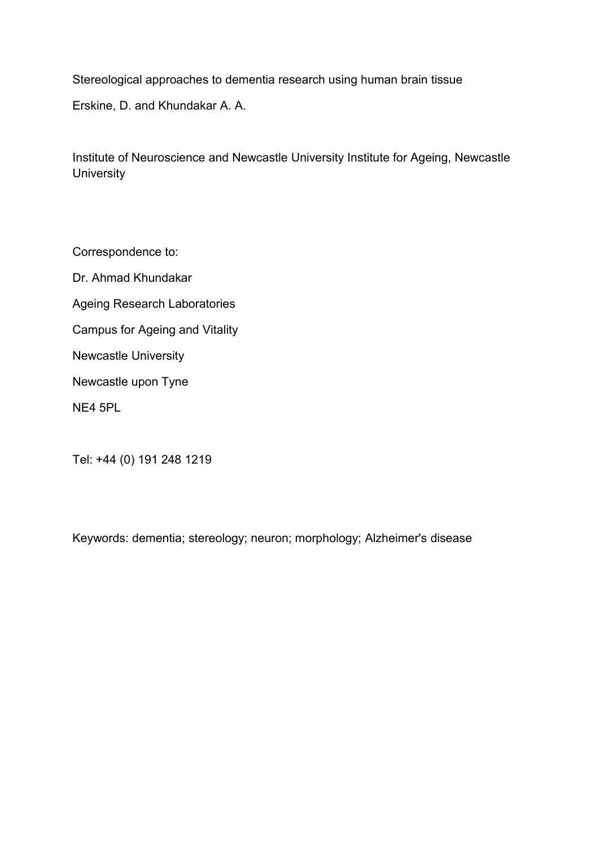Stereological approaches to dementia research using human brain tissue Erskine, D. and Khundakar A. A.

Institute of Neuroscience and Newcastle University Institute for Ageing, Newcastle **University** 

Correspondence to:

Dr. Ahmad Khundakar Ageing Research Laboratories Campus for Ageing and Vitality Newcastle University Newcastle upon Tyne NE4 5PL

Tel: +44 (0) 191 248 1219

Keywords: dementia; stereology; neuron; morphology; Alzheimer's disease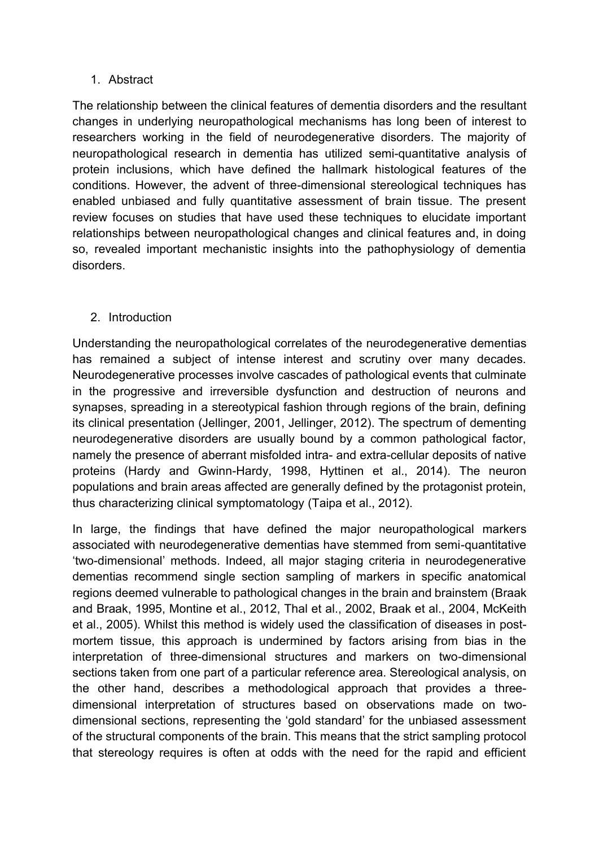## 1. Abstract

The relationship between the clinical features of dementia disorders and the resultant changes in underlying neuropathological mechanisms has long been of interest to researchers working in the field of neurodegenerative disorders. The majority of neuropathological research in dementia has utilized semi-quantitative analysis of protein inclusions, which have defined the hallmark histological features of the conditions. However, the advent of three-dimensional stereological techniques has enabled unbiased and fully quantitative assessment of brain tissue. The present review focuses on studies that have used these techniques to elucidate important relationships between neuropathological changes and clinical features and, in doing so, revealed important mechanistic insights into the pathophysiology of dementia disorders.

# 2. Introduction

Understanding the neuropathological correlates of the neurodegenerative dementias has remained a subject of intense interest and scrutiny over many decades. Neurodegenerative processes involve cascades of pathological events that culminate in the progressive and irreversible dysfunction and destruction of neurons and synapses, spreading in a stereotypical fashion through regions of the brain, defining its clinical presentation [\(Jellinger, 2001,](#page-17-0) [Jellinger, 2012\)](#page-17-1). The spectrum of dementing neurodegenerative disorders are usually bound by a common pathological factor, namely the presence of aberrant misfolded intra- and extra-cellular deposits of native proteins [\(Hardy and Gwinn-Hardy, 1998,](#page-17-2) [Hyttinen et al., 2014\)](#page-17-3). The neuron populations and brain areas affected are generally defined by the protagonist protein, thus characterizing clinical symptomatology [\(Taipa et al., 2012\)](#page-21-0).

In large, the findings that have defined the major neuropathological markers associated with neurodegenerative dementias have stemmed from semi-quantitative 'two-dimensional' methods. Indeed, all major staging criteria in neurodegenerative dementias recommend single section sampling of markers in specific anatomical regions deemed vulnerable to pathological changes in the brain and brainstem [\(Braak](#page-15-0)  [and Braak, 1995,](#page-15-0) [Montine et al., 2012,](#page-19-0) [Thal et al., 2002,](#page-21-1) [Braak et al., 2004,](#page-15-1) [McKeith](#page-18-0)  [et al., 2005\)](#page-18-0). Whilst this method is widely used the classification of diseases in postmortem tissue, this approach is undermined by factors arising from bias in the interpretation of three-dimensional structures and markers on two-dimensional sections taken from one part of a particular reference area. Stereological analysis, on the other hand, describes a methodological approach that provides a threedimensional interpretation of structures based on observations made on twodimensional sections, representing the 'gold standard' for the unbiased assessment of the structural components of the brain. This means that the strict sampling protocol that stereology requires is often at odds with the need for the rapid and efficient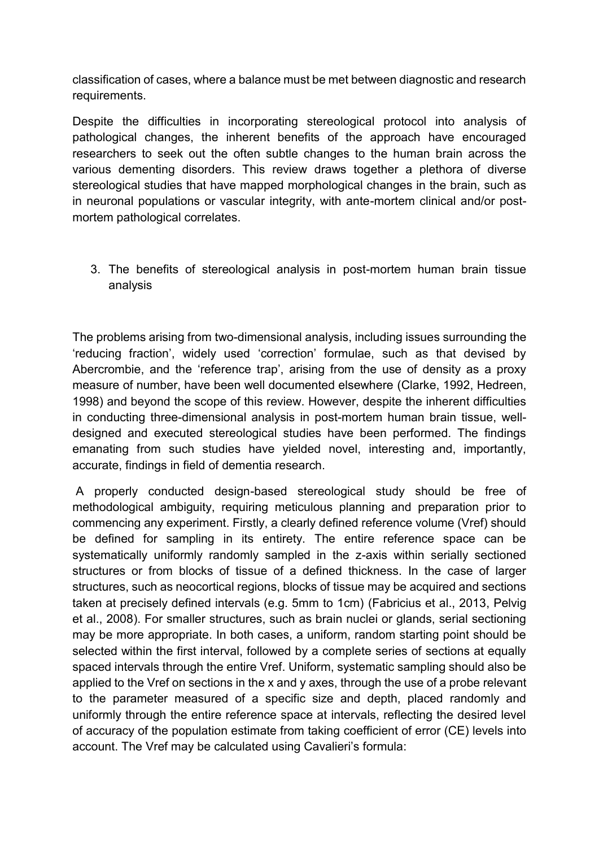classification of cases, where a balance must be met between diagnostic and research requirements.

Despite the difficulties in incorporating stereological protocol into analysis of pathological changes, the inherent benefits of the approach have encouraged researchers to seek out the often subtle changes to the human brain across the various dementing disorders. This review draws together a plethora of diverse stereological studies that have mapped morphological changes in the brain, such as in neuronal populations or vascular integrity, with ante-mortem clinical and/or postmortem pathological correlates.

3. The benefits of stereological analysis in post-mortem human brain tissue analysis

The problems arising from two-dimensional analysis, including issues surrounding the 'reducing fraction', widely used 'correction' formulae, such as that devised by Abercrombie, and the 'reference trap', arising from the use of density as a proxy measure of number, have been well documented elsewhere [\(Clarke, 1992,](#page-16-0) [Hedreen,](#page-17-4)  [1998\)](#page-17-4) and beyond the scope of this review. However, despite the inherent difficulties in conducting three-dimensional analysis in post-mortem human brain tissue, welldesigned and executed stereological studies have been performed. The findings emanating from such studies have yielded novel, interesting and, importantly, accurate, findings in field of dementia research.

A properly conducted design-based stereological study should be free of methodological ambiguity, requiring meticulous planning and preparation prior to commencing any experiment. Firstly, a clearly defined reference volume (Vref) should be defined for sampling in its entirety. The entire reference space can be systematically uniformly randomly sampled in the z-axis within serially sectioned structures or from blocks of tissue of a defined thickness. In the case of larger structures, such as neocortical regions, blocks of tissue may be acquired and sections taken at precisely defined intervals (e.g. 5mm to 1cm) [\(Fabricius et al., 2013,](#page-16-1) [Pelvig](#page-19-1)  [et al., 2008\)](#page-19-1). For smaller structures, such as brain nuclei or glands, serial sectioning may be more appropriate. In both cases, a uniform, random starting point should be selected within the first interval, followed by a complete series of sections at equally spaced intervals through the entire Vref. Uniform, systematic sampling should also be applied to the Vref on sections in the x and y axes, through the use of a probe relevant to the parameter measured of a specific size and depth, placed randomly and uniformly through the entire reference space at intervals, reflecting the desired level of accuracy of the population estimate from taking coefficient of error (CE) levels into account. The Vref may be calculated using Cavalieri's formula: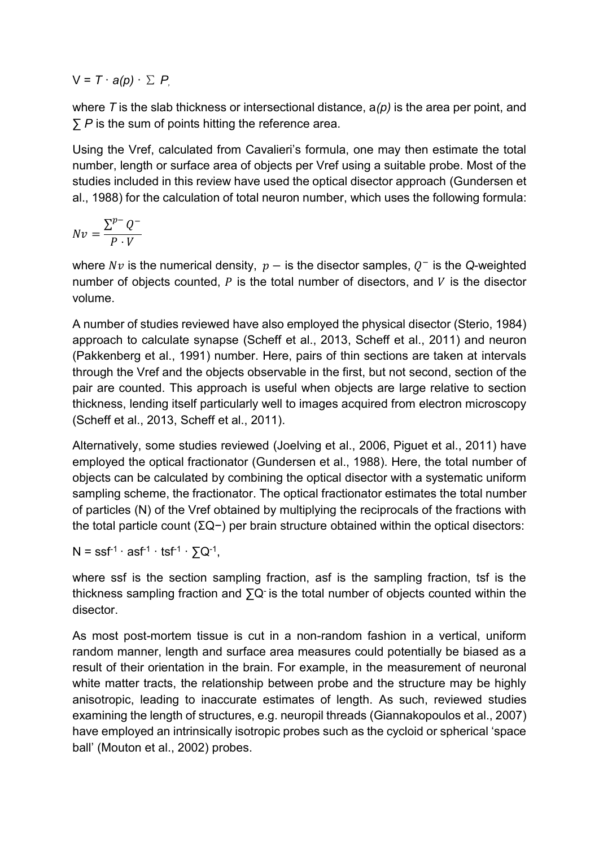$V = T \cdot a(p) \cdot \sum P$ 

where *T* is the slab thickness or intersectional distance, a*(p)* is the area per point, and ∑ *P* is the sum of points hitting the reference area.

Using the Vref, calculated from Cavalieri's formula, one may then estimate the total number, length or surface area of objects per Vref using a suitable probe. Most of the studies included in this review have used the optical disector approach [\(Gundersen et](#page-17-5)  [al., 1988\)](#page-17-5) for the calculation of total neuron number, which uses the following formula:

$$
Nv = \frac{\sum^{p-} Q^{-}}{P \cdot V}
$$

where  $Nv$  is the numerical density,  $p -$  is the disector samples,  $Q^-$  is the Q-weighted number of objects counted.  $P$  is the total number of disectors, and  $V$  is the disector volume.

A number of studies reviewed have also employed the physical disector [\(Sterio, 1984\)](#page-21-2) approach to calculate synapse [\(Scheff et al., 2013,](#page-20-0) [Scheff et al., 2011\)](#page-20-1) and neuron [\(Pakkenberg et al., 1991\)](#page-19-2) number. Here, pairs of thin sections are taken at intervals through the Vref and the objects observable in the first, but not second, section of the pair are counted. This approach is useful when objects are large relative to section thickness, lending itself particularly well to images acquired from electron microscopy [\(Scheff et al., 2013,](#page-20-0) [Scheff et al., 2011\)](#page-20-1).

Alternatively, some studies reviewed [\(Joelving et al., 2006,](#page-17-6) [Piguet et al., 2011\)](#page-19-3) have employed the optical fractionator [\(Gundersen et al., 1988\)](#page-17-5). Here, the total number of objects can be calculated by combining the optical disector with a systematic uniform sampling scheme, the fractionator. The optical fractionator estimates the total number of particles (N) of the Vref obtained by multiplying the reciprocals of the fractions with the total particle count (ΣQ−) per brain structure obtained within the optical disectors:

 $N = s s f^{-1} \cdot as f^{-1} \cdot s f^{-1} \cdot \sum Q^{-1},$ 

where ssf is the section sampling fraction, asf is the sampling fraction, tsf is the thickness sampling fraction and  $\Sigma Q$  is the total number of objects counted within the disector.

As most post-mortem tissue is cut in a non-random fashion in a vertical, uniform random manner, length and surface area measures could potentially be biased as a result of their orientation in the brain. For example, in the measurement of neuronal white matter tracts, the relationship between probe and the structure may be highly anisotropic, leading to inaccurate estimates of length. As such, reviewed studies examining the length of structures, e.g. neuropil threads [\(Giannakopoulos et al., 2007\)](#page-16-2) have employed an intrinsically isotropic probes such as the cycloid or spherical 'space ball' [\(Mouton et al., 2002\)](#page-19-4) probes.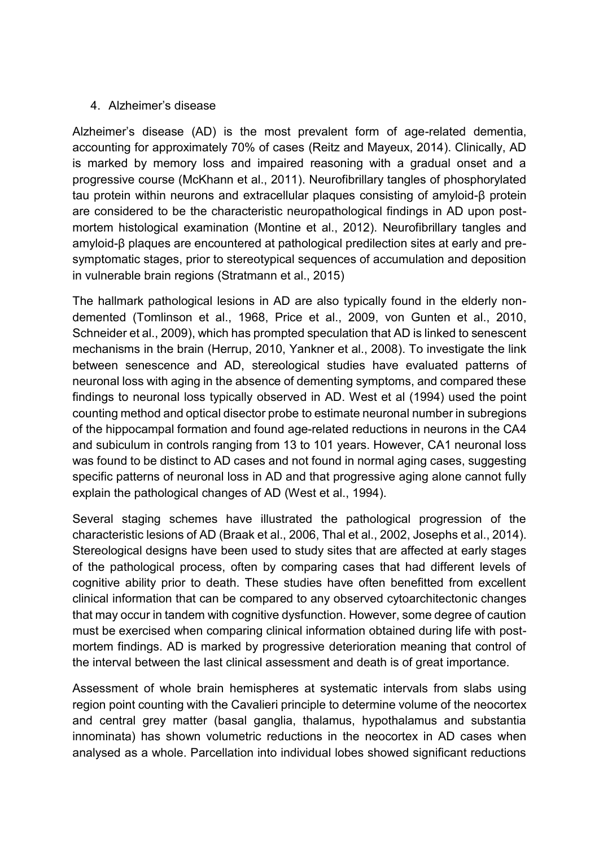## 4. Alzheimer's disease

Alzheimer's disease (AD) is the most prevalent form of age-related dementia, accounting for approximately 70% of cases [\(Reitz and Mayeux, 2014\)](#page-20-2). Clinically, AD is marked by memory loss and impaired reasoning with a gradual onset and a progressive course [\(McKhann et al., 2011\)](#page-18-1). Neurofibrillary tangles of phosphorylated tau protein within neurons and extracellular plaques consisting of amyloid-β protein are considered to be the characteristic neuropathological findings in AD upon postmortem histological examination [\(Montine et al., 2012\)](#page-19-0). Neurofibrillary tangles and amyloid-β plaques are encountered at pathological predilection sites at early and presymptomatic stages, prior to stereotypical sequences of accumulation and deposition in vulnerable brain regions [\(Stratmann et al., 2015\)](#page-21-3)

The hallmark pathological lesions in AD are also typically found in the elderly nondemented [\(Tomlinson et al., 1968,](#page-21-4) [Price et al., 2009,](#page-20-3) [von Gunten et al., 2010,](#page-21-5) [Schneider et al., 2009\)](#page-20-4), which has prompted speculation that AD is linked to senescent mechanisms in the brain [\(Herrup, 2010,](#page-17-7) [Yankner et al., 2008\)](#page-21-6). To investigate the link between senescence and AD, stereological studies have evaluated patterns of neuronal loss with aging in the absence of dementing symptoms, and compared these findings to neuronal loss typically observed in AD. West et al (1994) used the point counting method and optical disector probe to estimate neuronal number in subregions of the hippocampal formation and found age-related reductions in neurons in the CA4 and subiculum in controls ranging from 13 to 101 years. However, CA1 neuronal loss was found to be distinct to AD cases and not found in normal aging cases, suggesting specific patterns of neuronal loss in AD and that progressive aging alone cannot fully explain the pathological changes of AD [\(West et al., 1994\)](#page-21-7).

Several staging schemes have illustrated the pathological progression of the characteristic lesions of AD [\(Braak et al., 2006,](#page-15-2) [Thal et al., 2002,](#page-21-1) [Josephs et al., 2014\)](#page-18-2). Stereological designs have been used to study sites that are affected at early stages of the pathological process, often by comparing cases that had different levels of cognitive ability prior to death. These studies have often benefitted from excellent clinical information that can be compared to any observed cytoarchitectonic changes that may occur in tandem with cognitive dysfunction. However, some degree of caution must be exercised when comparing clinical information obtained during life with postmortem findings. AD is marked by progressive deterioration meaning that control of the interval between the last clinical assessment and death is of great importance.

Assessment of whole brain hemispheres at systematic intervals from slabs using region point counting with the Cavalieri principle to determine volume of the neocortex and central grey matter (basal ganglia, thalamus, hypothalamus and substantia innominata) has shown volumetric reductions in the neocortex in AD cases when analysed as a whole. Parcellation into individual lobes showed significant reductions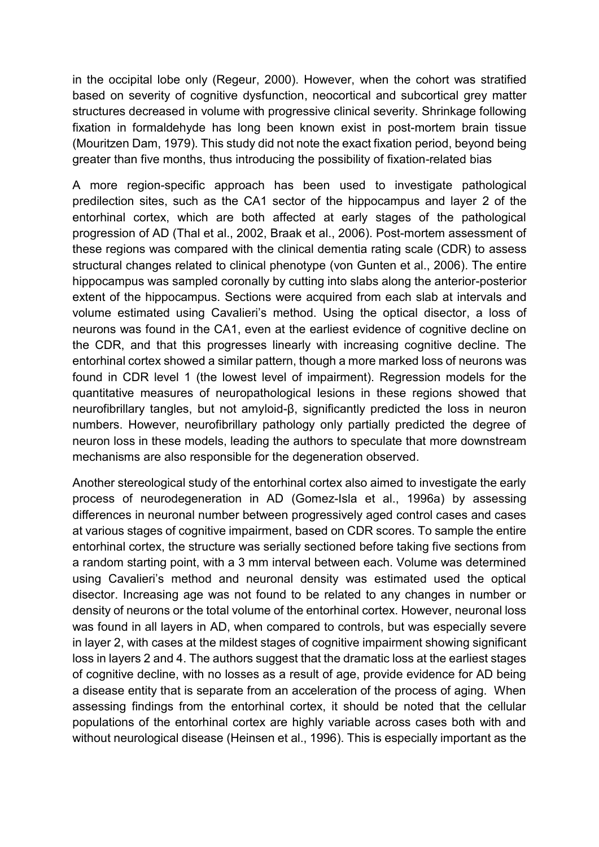in the occipital lobe only [\(Regeur, 2000\)](#page-20-5). However, when the cohort was stratified based on severity of cognitive dysfunction, neocortical and subcortical grey matter structures decreased in volume with progressive clinical severity. Shrinkage following fixation in formaldehyde has long been known exist in post-mortem brain tissue [\(Mouritzen Dam, 1979\)](#page-19-5). This study did not note the exact fixation period, beyond being greater than five months, thus introducing the possibility of fixation-related bias

A more region-specific approach has been used to investigate pathological predilection sites, such as the CA1 sector of the hippocampus and layer 2 of the entorhinal cortex, which are both affected at early stages of the pathological progression of AD [\(Thal et al., 2002,](#page-21-1) [Braak et al., 2006\)](#page-15-2). Post-mortem assessment of these regions was compared with the clinical dementia rating scale (CDR) to assess structural changes related to clinical phenotype [\(von Gunten et al., 2006\)](#page-21-8). The entire hippocampus was sampled coronally by cutting into slabs along the anterior-posterior extent of the hippocampus. Sections were acquired from each slab at intervals and volume estimated using Cavalieri's method. Using the optical disector, a loss of neurons was found in the CA1, even at the earliest evidence of cognitive decline on the CDR, and that this progresses linearly with increasing cognitive decline. The entorhinal cortex showed a similar pattern, though a more marked loss of neurons was found in CDR level 1 (the lowest level of impairment). Regression models for the quantitative measures of neuropathological lesions in these regions showed that neurofibrillary tangles, but not amyloid-β, significantly predicted the loss in neuron numbers. However, neurofibrillary pathology only partially predicted the degree of neuron loss in these models, leading the authors to speculate that more downstream mechanisms are also responsible for the degeneration observed.

Another stereological study of the entorhinal cortex also aimed to investigate the early process of neurodegeneration in AD [\(Gomez-Isla et al., 1996a\)](#page-17-8) by assessing differences in neuronal number between progressively aged control cases and cases at various stages of cognitive impairment, based on CDR scores. To sample the entire entorhinal cortex, the structure was serially sectioned before taking five sections from a random starting point, with a 3 mm interval between each. Volume was determined using Cavalieri's method and neuronal density was estimated used the optical disector. Increasing age was not found to be related to any changes in number or density of neurons or the total volume of the entorhinal cortex. However, neuronal loss was found in all layers in AD, when compared to controls, but was especially severe in layer 2, with cases at the mildest stages of cognitive impairment showing significant loss in layers 2 and 4. The authors suggest that the dramatic loss at the earliest stages of cognitive decline, with no losses as a result of age, provide evidence for AD being a disease entity that is separate from an acceleration of the process of aging. When assessing findings from the entorhinal cortex, it should be noted that the cellular populations of the entorhinal cortex are highly variable across cases both with and without neurological disease [\(Heinsen et al., 1996\)](#page-17-9). This is especially important as the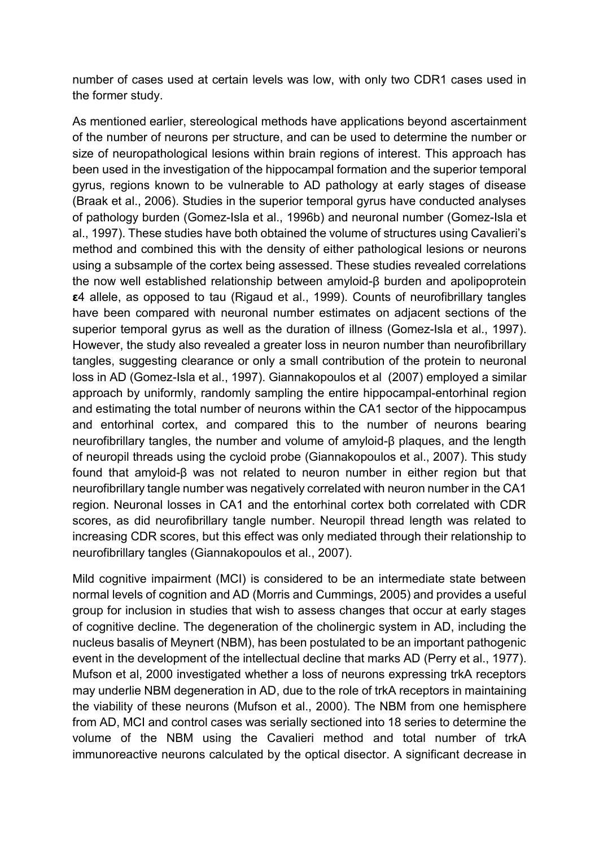number of cases used at certain levels was low, with only two CDR1 cases used in the former study.

As mentioned earlier, stereological methods have applications beyond ascertainment of the number of neurons per structure, and can be used to determine the number or size of neuropathological lesions within brain regions of interest. This approach has been used in the investigation of the hippocampal formation and the superior temporal gyrus, regions known to be vulnerable to AD pathology at early stages of disease [\(Braak et al., 2006\)](#page-15-2). Studies in the superior temporal gyrus have conducted analyses of pathology burden [\(Gomez-Isla et al., 1996b\)](#page-17-10) and neuronal number [\(Gomez-Isla et](#page-17-11)  [al., 1997\)](#page-17-11). These studies have both obtained the volume of structures using Cavalieri's method and combined this with the density of either pathological lesions or neurons using a subsample of the cortex being assessed. These studies revealed correlations the now well established relationship between amyloid-β burden and apolipoprotein **ε**4 allele, as opposed to tau [\(Rigaud et al., 1999\)](#page-20-6). Counts of neurofibrillary tangles have been compared with neuronal number estimates on adjacent sections of the superior temporal gyrus as well as the duration of illness [\(Gomez-Isla et al., 1997\)](#page-17-11). However, the study also revealed a greater loss in neuron number than neurofibrillary tangles, suggesting clearance or only a small contribution of the protein to neuronal loss in AD [\(Gomez-Isla et al., 1997\)](#page-17-11). [Giannakopoulos et al \(2007\)](#page-16-3) employed a similar approach by uniformly, randomly sampling the entire hippocampal-entorhinal region and estimating the total number of neurons within the CA1 sector of the hippocampus and entorhinal cortex, and compared this to the number of neurons bearing neurofibrillary tangles, the number and volume of amyloid-β plaques, and the length of neuropil threads using the cycloid probe [\(Giannakopoulos et al., 2007\)](#page-16-2). This study found that amyloid-β was not related to neuron number in either region but that neurofibrillary tangle number was negatively correlated with neuron number in the CA1 region. Neuronal losses in CA1 and the entorhinal cortex both correlated with CDR scores, as did neurofibrillary tangle number. Neuropil thread length was related to increasing CDR scores, but this effect was only mediated through their relationship to neurofibrillary tangles [\(Giannakopoulos et al., 2007\)](#page-16-2).

Mild cognitive impairment (MCI) is considered to be an intermediate state between normal levels of cognition and AD [\(Morris and Cummings, 2005\)](#page-19-6) and provides a useful group for inclusion in studies that wish to assess changes that occur at early stages of cognitive decline. The degeneration of the cholinergic system in AD, including the nucleus basalis of Meynert (NBM), has been postulated to be an important pathogenic event in the development of the intellectual decline that marks AD [\(Perry et al., 1977\)](#page-19-7). Mufson et al, 2000 investigated whether a loss of neurons expressing trkA receptors may underlie NBM degeneration in AD, due to the role of trkA receptors in maintaining the viability of these neurons [\(Mufson et al., 2000\)](#page-19-8). The NBM from one hemisphere from AD, MCI and control cases was serially sectioned into 18 series to determine the volume of the NBM using the Cavalieri method and total number of trkA immunoreactive neurons calculated by the optical disector. A significant decrease in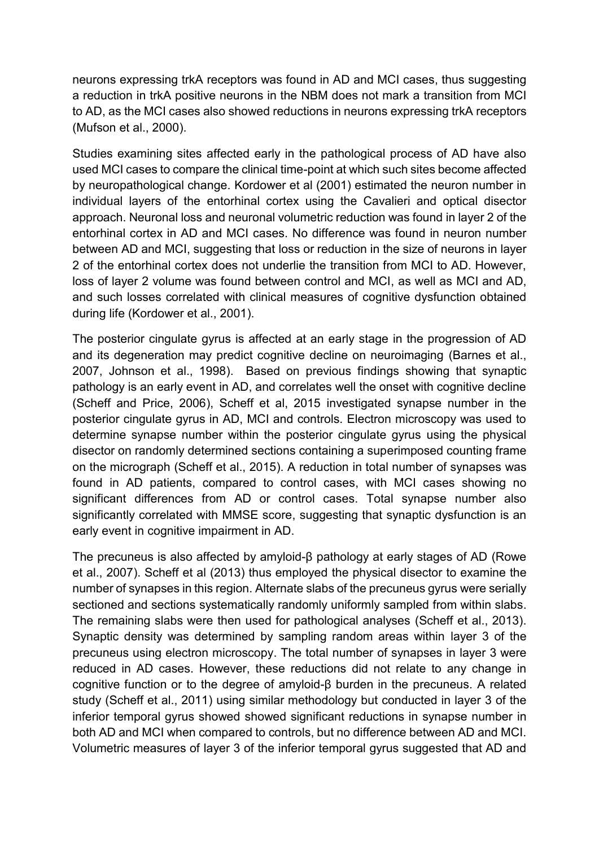neurons expressing trkA receptors was found in AD and MCI cases, thus suggesting a reduction in trkA positive neurons in the NBM does not mark a transition from MCI to AD, as the MCI cases also showed reductions in neurons expressing trkA receptors [\(Mufson et al., 2000\)](#page-19-8).

Studies examining sites affected early in the pathological process of AD have also used MCI cases to compare the clinical time-point at which such sites become affected by neuropathological change. Kordower et al (2001) estimated the neuron number in individual layers of the entorhinal cortex using the Cavalieri and optical disector approach. Neuronal loss and neuronal volumetric reduction was found in layer 2 of the entorhinal cortex in AD and MCI cases. No difference was found in neuron number between AD and MCI, suggesting that loss or reduction in the size of neurons in layer 2 of the entorhinal cortex does not underlie the transition from MCI to AD. However, loss of layer 2 volume was found between control and MCI, as well as MCI and AD, and such losses correlated with clinical measures of cognitive dysfunction obtained during life [\(Kordower et al., 2001\)](#page-18-3).

The posterior cingulate gyrus is affected at an early stage in the progression of AD and its degeneration may predict cognitive decline on neuroimaging [\(Barnes et al.,](#page-15-3)  [2007,](#page-15-3) [Johnson et al., 1998\)](#page-17-12). Based on previous findings showing that synaptic pathology is an early event in AD, and correlates well the onset with cognitive decline [\(Scheff and Price, 2006\)](#page-20-7), Scheff et al, 2015 investigated synapse number in the posterior cingulate gyrus in AD, MCI and controls. Electron microscopy was used to determine synapse number within the posterior cingulate gyrus using the physical disector on randomly determined sections containing a superimposed counting frame on the micrograph [\(Scheff et al., 2015\)](#page-20-8). A reduction in total number of synapses was found in AD patients, compared to control cases, with MCI cases showing no significant differences from AD or control cases. Total synapse number also significantly correlated with MMSE score, suggesting that synaptic dysfunction is an early event in cognitive impairment in AD.

The precuneus is also affected by amyloid-β pathology at early stages of AD [\(Rowe](#page-20-9)  [et al., 2007\)](#page-20-9). Scheff et al (2013) thus employed the physical disector to examine the number of synapses in this region. Alternate slabs of the precuneus gyrus were serially sectioned and sections systematically randomly uniformly sampled from within slabs. The remaining slabs were then used for pathological analyses (Scheff et al., 2013). Synaptic density was determined by sampling random areas within layer 3 of the precuneus using electron microscopy. The total number of synapses in layer 3 were reduced in AD cases. However, these reductions did not relate to any change in cognitive function or to the degree of amyloid-β burden in the precuneus. A related study [\(Scheff et al., 2011\)](#page-20-1) using similar methodology but conducted in layer 3 of the inferior temporal gyrus showed showed significant reductions in synapse number in both AD and MCI when compared to controls, but no difference between AD and MCI. Volumetric measures of layer 3 of the inferior temporal gyrus suggested that AD and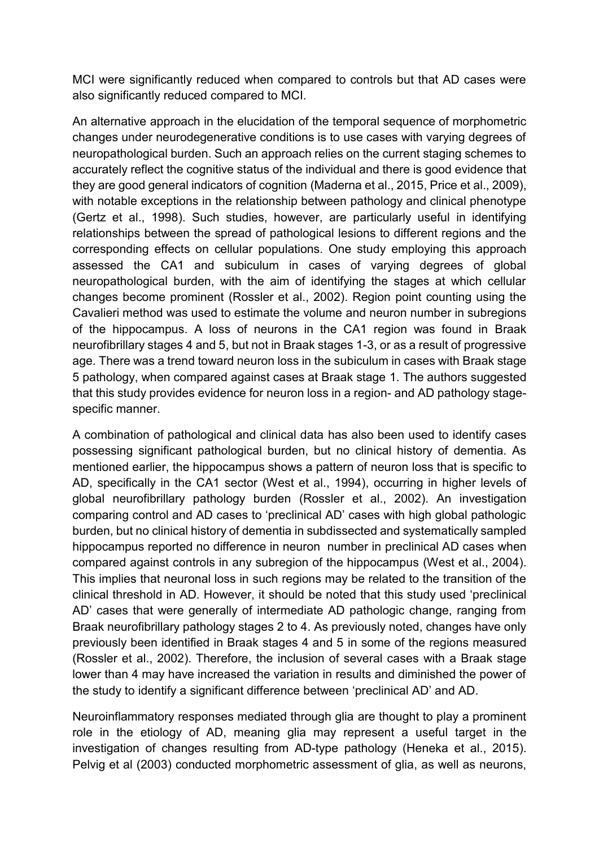MCI were significantly reduced when compared to controls but that AD cases were also significantly reduced compared to MCI.

An alternative approach in the elucidation of the temporal sequence of morphometric changes under neurodegenerative conditions is to use cases with varying degrees of neuropathological burden. Such an approach relies on the current staging schemes to accurately reflect the cognitive status of the individual and there is good evidence that they are good general indicators of cognition [\(Maderna et al., 2015,](#page-18-4) [Price et al., 2009\)](#page-20-3), with notable exceptions in the relationship between pathology and clinical phenotype [\(Gertz et al., 1998\)](#page-16-4). Such studies, however, are particularly useful in identifying relationships between the spread of pathological lesions to different regions and the corresponding effects on cellular populations. One study employing this approach assessed the CA1 and subiculum in cases of varying degrees of global neuropathological burden, with the aim of identifying the stages at which cellular changes become prominent [\(Rossler et al., 2002\)](#page-20-10). Region point counting using the Cavalieri method was used to estimate the volume and neuron number in subregions of the hippocampus. A loss of neurons in the CA1 region was found in Braak neurofibrillary stages 4 and 5, but not in Braak stages 1-3, or as a result of progressive age. There was a trend toward neuron loss in the subiculum in cases with Braak stage 5 pathology, when compared against cases at Braak stage 1. The authors suggested that this study provides evidence for neuron loss in a region- and AD pathology stagespecific manner.

A combination of pathological and clinical data has also been used to identify cases possessing significant pathological burden, but no clinical history of dementia. As mentioned earlier, the hippocampus shows a pattern of neuron loss that is specific to AD, specifically in the CA1 sector (West [et al., 1994\)](#page-21-7), occurring in higher levels of global neurofibrillary pathology burden [\(Rossler et al., 2002\)](#page-20-10). An investigation comparing control and AD cases to 'preclinical AD' cases with high global pathologic burden, but no clinical history of dementia in subdissected and systematically sampled hippocampus reported no difference in neuron number in preclinical AD cases when compared against controls in any subregion of the hippocampus [\(West et al., 2004\)](#page-21-9). This implies that neuronal loss in such regions may be related to the transition of the clinical threshold in AD. However, it should be noted that this study used 'preclinical AD' cases that were generally of intermediate AD pathologic change, ranging from Braak neurofibrillary pathology stages 2 to 4. As previously noted, changes have only previously been identified in Braak stages 4 and 5 in some of the regions measured [\(Rossler et al., 2002\)](#page-20-10). Therefore, the inclusion of several cases with a Braak stage lower than 4 may have increased the variation in results and diminished the power of the study to identify a significant difference between 'preclinical AD' and AD.

Neuroinflammatory responses mediated through glia are thought to play a prominent role in the etiology of AD, meaning glia may represent a useful target in the investigation of changes resulting from AD-type pathology [\(Heneka et al., 2015\)](#page-17-13). Pelvig et al (2003) conducted morphometric assessment of glia, as well as neurons,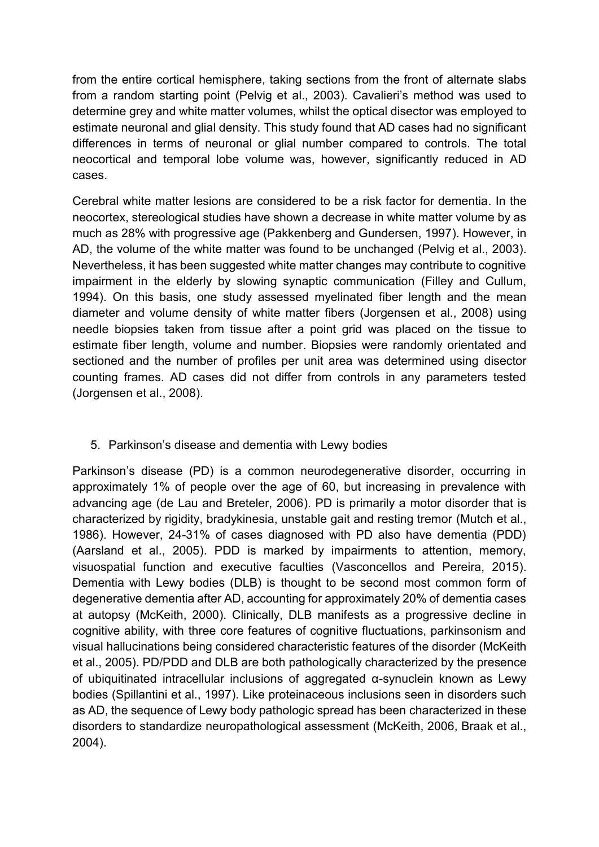from the entire cortical hemisphere, taking sections from the front of alternate slabs from a random starting point [\(Pelvig et al., 2003\)](#page-19-9). Cavalieri's method was used to determine grey and white matter volumes, whilst the optical disector was employed to estimate neuronal and glial density. This study found that AD cases had no significant differences in terms of neuronal or glial number compared to controls. The total neocortical and temporal lobe volume was, however, significantly reduced in AD cases.

Cerebral white matter lesions are considered to be a risk factor for dementia. In the neocortex, stereological studies have shown a decrease in white matter volume by as much as 28% with progressive age [\(Pakkenberg and Gundersen, 1997\)](#page-19-10). However, in AD, the volume of the white matter was found to be unchanged [\(Pelvig et al., 2003\)](#page-19-9). Nevertheless, it has been suggested white matter changes may contribute to cognitive impairment in the elderly by slowing synaptic communication [\(Filley and Cullum,](#page-16-5)  [1994\)](#page-16-5). On this basis, one study assessed myelinated fiber length and the mean diameter and volume density of white matter fibers [\(Jorgensen et al., 2008\)](#page-18-5) using needle biopsies taken from tissue after a point grid was placed on the tissue to estimate fiber length, volume and number. Biopsies were randomly orientated and sectioned and the number of profiles per unit area was determined using disector counting frames. AD cases did not differ from controls in any parameters tested [\(Jorgensen et al., 2008\)](#page-18-5).

## 5. Parkinson's disease and dementia with Lewy bodies

Parkinson's disease (PD) is a common neurodegenerative disorder, occurring in approximately 1% of people over the age of 60, but increasing in prevalence with advancing age [\(de Lau and Breteler, 2006\)](#page-16-6). PD is primarily a motor disorder that is characterized by rigidity, bradykinesia, unstable gait and resting tremor [\(Mutch et al.,](#page-19-11)  [1986\)](#page-19-11). However, 24-31% of cases diagnosed with PD also have dementia (PDD) [\(Aarsland et al., 2005\)](#page-15-4). PDD is marked by impairments to attention, memory, visuospatial function and executive faculties [\(Vasconcellos and Pereira, 2015\)](#page-21-10). Dementia with Lewy bodies (DLB) is thought to be second most common form of degenerative dementia after AD, accounting for approximately 20% of dementia cases at autopsy [\(McKeith, 2000\)](#page-18-6). Clinically, DLB manifests as a progressive decline in cognitive ability, with three core features of cognitive fluctuations, parkinsonism and visual hallucinations being considered characteristic features of the disorder [\(McKeith](#page-18-0)  [et al., 2005\)](#page-18-0). PD/PDD and DLB are both pathologically characterized by the presence of ubiquitinated intracellular inclusions of aggregated α-synuclein known as Lewy bodies [\(Spillantini et al., 1997\)](#page-21-11). Like proteinaceous inclusions seen in disorders such as AD, the sequence of Lewy body pathologic spread has been characterized in these disorders to standardize neuropathological assessment [\(McKeith, 2006,](#page-18-7) [Braak et al.,](#page-15-1)  [2004\)](#page-15-1).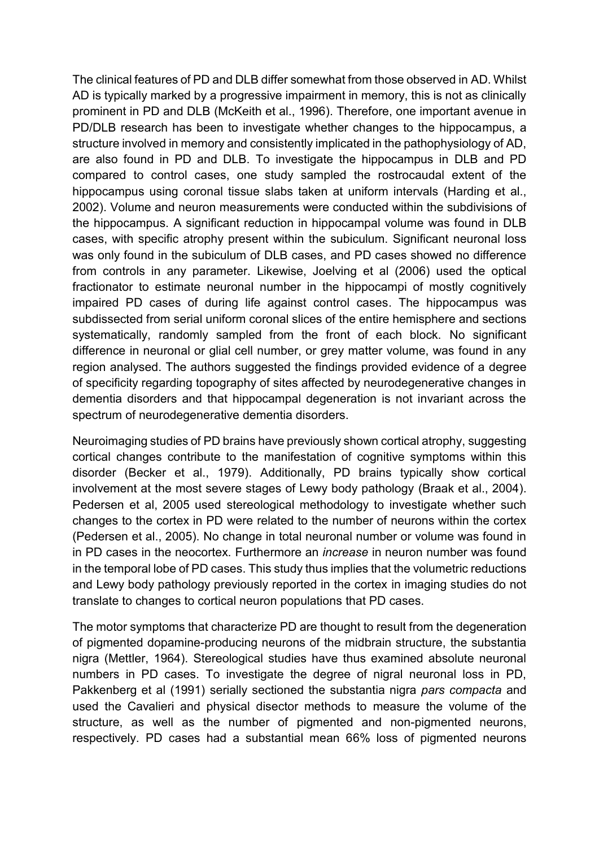The clinical features of PD and DLB differ somewhat from those observed in AD. Whilst AD is typically marked by a progressive impairment in memory, this is not as clinically prominent in PD and DLB [\(McKeith et al., 1996\)](#page-18-8). Therefore, one important avenue in PD/DLB research has been to investigate whether changes to the hippocampus, a structure involved in memory and consistently implicated in the pathophysiology of AD, are also found in PD and DLB. To investigate the hippocampus in DLB and PD compared to control cases, one study sampled the rostrocaudal extent of the hippocampus using coronal tissue slabs taken at uniform intervals [\(Harding et al.,](#page-17-14)  [2002\)](#page-17-14). Volume and neuron measurements were conducted within the subdivisions of the hippocampus. A significant reduction in hippocampal volume was found in DLB cases, with specific atrophy present within the subiculum. Significant neuronal loss was only found in the subiculum of DLB cases, and PD cases showed no difference from controls in any parameter. Likewise, Joelving et al (2006) used the optical fractionator to estimate neuronal number in the hippocampi of mostly cognitively impaired PD cases of during life against control cases. The hippocampus was subdissected from serial uniform coronal slices of the entire hemisphere and sections systematically, randomly sampled from the front of each block. No significant difference in neuronal or glial cell number, or grey matter volume, was found in any region analysed. The authors suggested the findings provided evidence of a degree of specificity regarding topography of sites affected by neurodegenerative changes in dementia disorders and that hippocampal degeneration is not invariant across the spectrum of neurodegenerative dementia disorders.

Neuroimaging studies of PD brains have previously shown cortical atrophy, suggesting cortical changes contribute to the manifestation of cognitive symptoms within this disorder [\(Becker et al., 1979\)](#page-15-5). Additionally, PD brains typically show cortical involvement at the most severe stages of Lewy body pathology [\(Braak et al., 2004\)](#page-15-1). Pedersen et al, 2005 used stereological methodology to investigate whether such changes to the cortex in PD were related to the number of neurons within the cortex [\(Pedersen et al., 2005\)](#page-19-12). No change in total neuronal number or volume was found in in PD cases in the neocortex. Furthermore an *increase* in neuron number was found in the temporal lobe of PD cases. This study thus implies that the volumetric reductions and Lewy body pathology previously reported in the cortex in imaging studies do not translate to changes to cortical neuron populations that PD cases.

The motor symptoms that characterize PD are thought to result from the degeneration of pigmented dopamine-producing neurons of the midbrain structure, the substantia nigra [\(Mettler, 1964\)](#page-19-13). Stereological studies have thus examined absolute neuronal numbers in PD cases. To investigate the degree of nigral neuronal loss in PD, Pakkenberg et al (1991) serially sectioned the substantia nigra *pars compacta* and used the Cavalieri and physical disector methods to measure the volume of the structure, as well as the number of pigmented and non-pigmented neurons, respectively. PD cases had a substantial mean 66% loss of pigmented neurons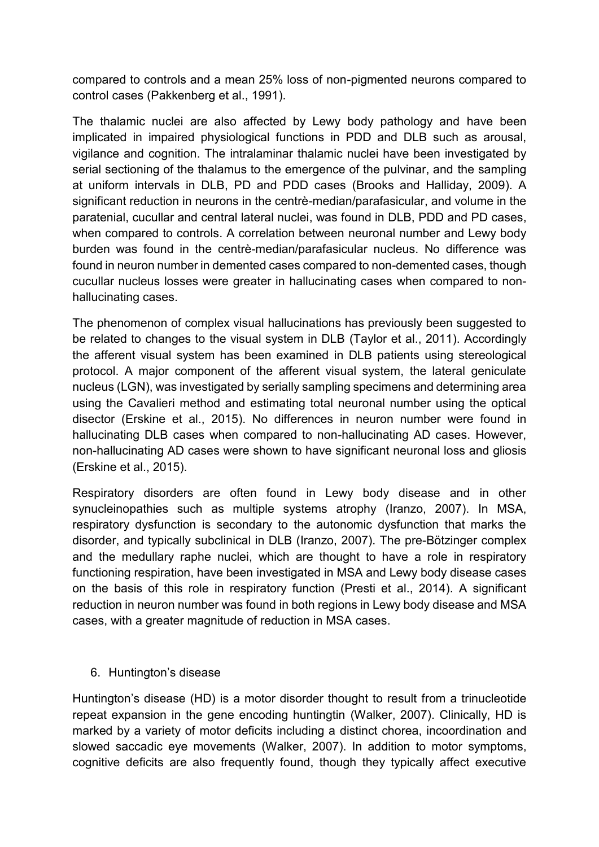compared to controls and a mean 25% loss of non-pigmented neurons compared to control cases [\(Pakkenberg et al., 1991\)](#page-19-2).

The thalamic nuclei are also affected by Lewy body pathology and have been implicated in impaired physiological functions in PDD and DLB such as arousal, vigilance and cognition. The intralaminar thalamic nuclei have been investigated by serial sectioning of the thalamus to the emergence of the pulvinar, and the sampling at uniform intervals in DLB, PD and PDD cases [\(Brooks and Halliday, 2009\)](#page-16-7). A significant reduction in neurons in the centrè-median/parafasicular, and volume in the paratenial, cucullar and central lateral nuclei, was found in DLB, PDD and PD cases, when compared to controls. A correlation between neuronal number and Lewy body burden was found in the centrѐ-median/parafasicular nucleus. No difference was found in neuron number in demented cases compared to non-demented cases, though cucullar nucleus losses were greater in hallucinating cases when compared to nonhallucinating cases.

The phenomenon of complex visual hallucinations has previously been suggested to be related to changes to the visual system in DLB [\(Taylor et al., 2011\)](#page-21-12). Accordingly the afferent visual system has been examined in DLB patients using stereological protocol. A major component of the afferent visual system, the lateral geniculate nucleus (LGN), was investigated by serially sampling specimens and determining area using the Cavalieri method and estimating total neuronal number using the optical disector [\(Erskine et al., 2015\)](#page-16-8). No differences in neuron number were found in hallucinating DLB cases when compared to non-hallucinating AD cases. However, non-hallucinating AD cases were shown to have significant neuronal loss and gliosis [\(Erskine et al., 2015\)](#page-16-8).

Respiratory disorders are often found in Lewy body disease and in other synucleinopathies such as multiple systems atrophy [\(Iranzo, 2007\)](#page-17-15). In MSA, respiratory dysfunction is secondary to the autonomic dysfunction that marks the disorder, and typically subclinical in DLB [\(Iranzo, 2007\)](#page-17-15). The pre-Bötzinger complex and the medullary raphe nuclei, which are thought to have a role in respiratory functioning respiration, have been investigated in MSA and Lewy body disease cases on the basis of this role in respiratory function [\(Presti et al., 2014\)](#page-20-11). A significant reduction in neuron number was found in both regions in Lewy body disease and MSA cases, with a greater magnitude of reduction in MSA cases.

6. Huntington's disease

Huntington's disease (HD) is a motor disorder thought to result from a trinucleotide repeat expansion in the gene encoding huntingtin [\(Walker, 2007\)](#page-21-13). Clinically, HD is marked by a variety of motor deficits including a distinct chorea, incoordination and slowed saccadic eye movements [\(Walker, 2007\)](#page-21-13). In addition to motor symptoms, cognitive deficits are also frequently found, though they typically affect executive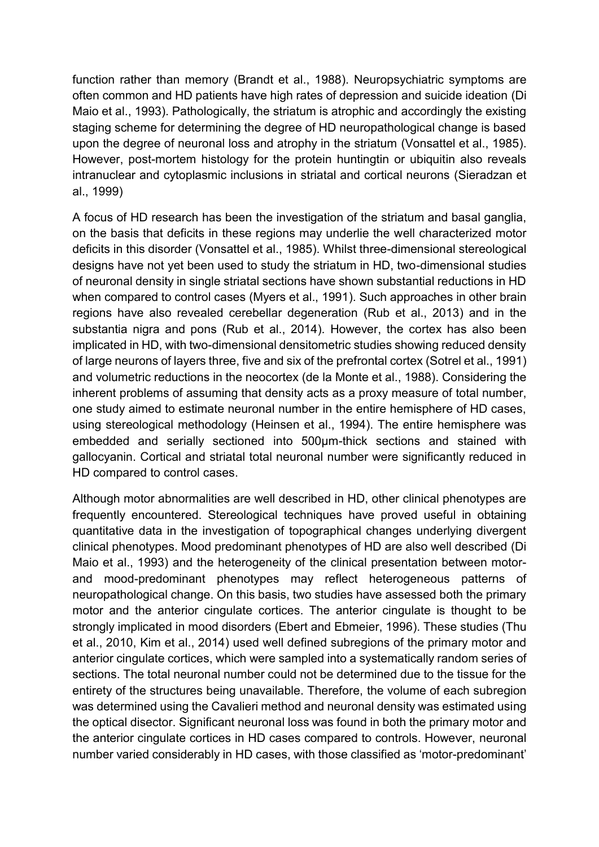function rather than memory [\(Brandt et al., 1988\)](#page-15-6). Neuropsychiatric symptoms are often common and HD patients have high rates of depression and suicide ideation [\(Di](#page-16-9)  [Maio et al., 1993\)](#page-16-9). Pathologically, the striatum is atrophic and accordingly the existing staging scheme for determining the degree of HD neuropathological change is based upon the degree of neuronal loss and atrophy in the striatum [\(Vonsattel et al., 1985\)](#page-21-14). However, post-mortem histology for the protein huntingtin or ubiquitin also reveals intranuclear and cytoplasmic inclusions in striatal and cortical neurons [\(Sieradzan et](#page-21-15)  [al., 1999\)](#page-21-15)

A focus of HD research has been the investigation of the striatum and basal ganglia, on the basis that deficits in these regions may underlie the well characterized motor deficits in this disorder [\(Vonsattel et al., 1985\)](#page-21-14). Whilst three-dimensional stereological designs have not yet been used to study the striatum in HD, two-dimensional studies of neuronal density in single striatal sections have shown substantial reductions in HD when compared to control cases [\(Myers et al., 1991\)](#page-19-14). Such approaches in other brain regions have also revealed cerebellar degeneration [\(Rub et al., 2013\)](#page-20-12) and in the substantia nigra and pons [\(Rub et al., 2014\)](#page-20-13). However, the cortex has also been implicated in HD, with two-dimensional densitometric studies showing reduced density of large neurons of layers three, five and six of the prefrontal cortex [\(Sotrel et al., 1991\)](#page-21-16) and volumetric reductions in the neocortex [\(de la Monte et al., 1988\)](#page-16-10). Considering the inherent problems of assuming that density acts as a proxy measure of total number, one study aimed to estimate neuronal number in the entire hemisphere of HD cases, using stereological methodology [\(Heinsen et al., 1994\)](#page-17-16). The entire hemisphere was embedded and serially sectioned into 500µm-thick sections and stained with gallocyanin. Cortical and striatal total neuronal number were significantly reduced in HD compared to control cases.

Although motor abnormalities are well described in HD, other clinical phenotypes are frequently encountered. Stereological techniques have proved useful in obtaining quantitative data in the investigation of topographical changes underlying divergent clinical phenotypes. Mood predominant phenotypes of HD are also well described [\(Di](#page-16-9)  [Maio et al., 1993\)](#page-16-9) and the heterogeneity of the clinical presentation between motorand mood-predominant phenotypes may reflect heterogeneous patterns of neuropathological change. On this basis, two studies have assessed both the primary motor and the anterior cingulate cortices. The anterior cingulate is thought to be strongly implicated in mood disorders [\(Ebert and Ebmeier, 1996\)](#page-16-11). These studies [\(Thu](#page-21-17)  [et al., 2010,](#page-21-17) [Kim et al., 2014\)](#page-18-9) used well defined subregions of the primary motor and anterior cingulate cortices, which were sampled into a systematically random series of sections. The total neuronal number could not be determined due to the tissue for the entirety of the structures being unavailable. Therefore, the volume of each subregion was determined using the Cavalieri method and neuronal density was estimated using the optical disector. Significant neuronal loss was found in both the primary motor and the anterior cingulate cortices in HD cases compared to controls. However, neuronal number varied considerably in HD cases, with those classified as 'motor-predominant'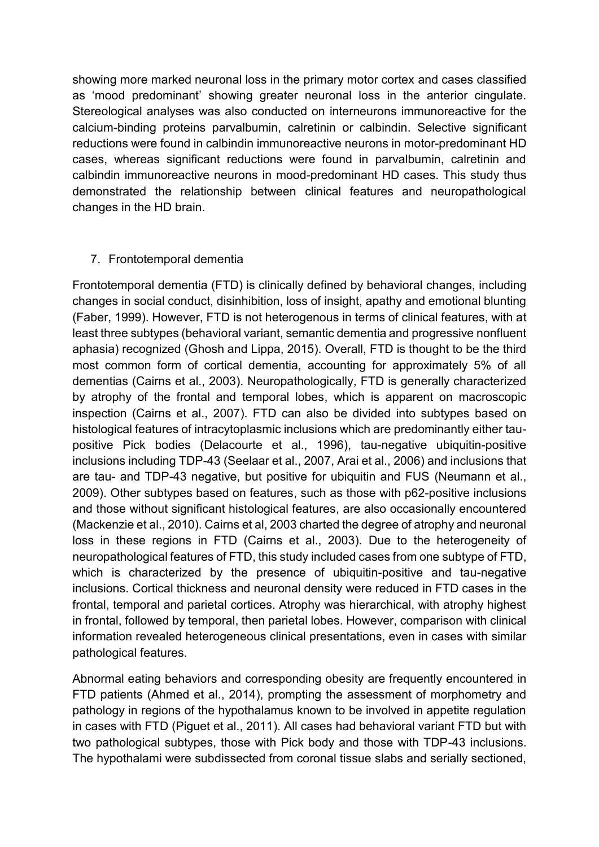showing more marked neuronal loss in the primary motor cortex and cases classified as 'mood predominant' showing greater neuronal loss in the anterior cingulate. Stereological analyses was also conducted on interneurons immunoreactive for the calcium-binding proteins parvalbumin, calretinin or calbindin. Selective significant reductions were found in calbindin immunoreactive neurons in motor-predominant HD cases, whereas significant reductions were found in parvalbumin, calretinin and calbindin immunoreactive neurons in mood-predominant HD cases. This study thus demonstrated the relationship between clinical features and neuropathological changes in the HD brain.

## 7. Frontotemporal dementia

Frontotemporal dementia (FTD) is clinically defined by behavioral changes, including changes in social conduct, disinhibition, loss of insight, apathy and emotional blunting [\(Faber, 1999\)](#page-16-12). However, FTD is not heterogenous in terms of clinical features, with at least three subtypes (behavioral variant, semantic dementia and progressive nonfluent aphasia) recognized [\(Ghosh and Lippa, 2015\)](#page-16-3). Overall, FTD is thought to be the third most common form of cortical dementia, accounting for approximately 5% of all dementias [\(Cairns et al., 2003\)](#page-16-13). Neuropathologically, FTD is generally characterized by atrophy of the frontal and temporal lobes, which is apparent on macroscopic inspection [\(Cairns et al., 2007\)](#page-16-14). FTD can also be divided into subtypes based on histological features of intracytoplasmic inclusions which are predominantly either taupositive Pick bodies [\(Delacourte et al., 1996\)](#page-16-15), tau-negative ubiquitin-positive inclusions including TDP-43 [\(Seelaar et al., 2007,](#page-20-14) [Arai et al., 2006\)](#page-15-7) and inclusions that are tau- and TDP-43 negative, but positive for ubiquitin and FUS [\(Neumann et al.,](#page-19-15)  [2009\)](#page-19-15). Other subtypes based on features, such as those with p62-positive inclusions and those without significant histological features, are also occasionally encountered [\(Mackenzie et al., 2010\)](#page-18-10). Cairns et al, 2003 charted the degree of atrophy and neuronal loss in these regions in FTD [\(Cairns et al., 2003\)](#page-16-13). Due to the heterogeneity of neuropathological features of FTD, this study included cases from one subtype of FTD, which is characterized by the presence of ubiquitin-positive and tau-negative inclusions. Cortical thickness and neuronal density were reduced in FTD cases in the frontal, temporal and parietal cortices. Atrophy was hierarchical, with atrophy highest in frontal, followed by temporal, then parietal lobes. However, comparison with clinical information revealed heterogeneous clinical presentations, even in cases with similar pathological features.

Abnormal eating behaviors and corresponding obesity are frequently encountered in FTD patients [\(Ahmed et al., 2014\)](#page-15-8), prompting the assessment of morphometry and pathology in regions of the hypothalamus known to be involved in appetite regulation in cases with FTD [\(Piguet et al., 2011\)](#page-19-3). All cases had behavioral variant FTD but with two pathological subtypes, those with Pick body and those with TDP-43 inclusions. The hypothalami were subdissected from coronal tissue slabs and serially sectioned,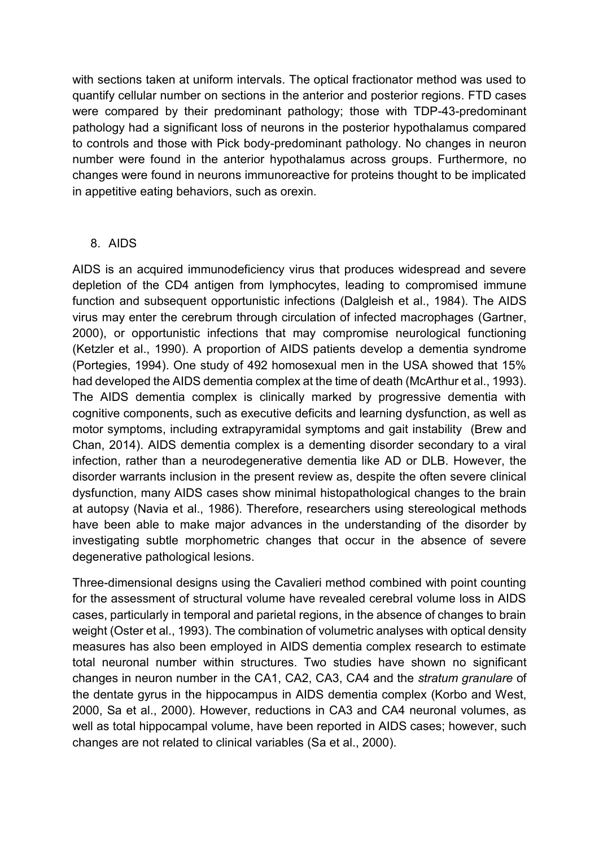with sections taken at uniform intervals. The optical fractionator method was used to quantify cellular number on sections in the anterior and posterior regions. FTD cases were compared by their predominant pathology; those with TDP-43-predominant pathology had a significant loss of neurons in the posterior hypothalamus compared to controls and those with Pick body-predominant pathology. No changes in neuron number were found in the anterior hypothalamus across groups. Furthermore, no changes were found in neurons immunoreactive for proteins thought to be implicated in appetitive eating behaviors, such as orexin.

## 8. AIDS

AIDS is an acquired immunodeficiency virus that produces widespread and severe depletion of the CD4 antigen from lymphocytes, leading to compromised immune function and subsequent opportunistic infections [\(Dalgleish et al., 1984\)](#page-16-16). The AIDS virus may enter the cerebrum through circulation of infected macrophages [\(Gartner,](#page-16-17)  [2000\)](#page-16-17), or opportunistic infections that may compromise neurological functioning [\(Ketzler et al., 1990\)](#page-18-11). A proportion of AIDS patients develop a dementia syndrome [\(Portegies, 1994\)](#page-19-16). One study of 492 homosexual men in the USA showed that 15% had developed the AIDS dementia complex at the time of death [\(McArthur et al., 1993\)](#page-18-12). The AIDS dementia complex is clinically marked by progressive dementia with cognitive components, such as executive deficits and learning dysfunction, as well as motor symptoms, including extrapyramidal symptoms and gait instability [\(Brew and](#page-16-18)  [Chan, 2014\)](#page-16-18). AIDS dementia complex is a dementing disorder secondary to a viral infection, rather than a neurodegenerative dementia like AD or DLB. However, the disorder warrants inclusion in the present review as, despite the often severe clinical dysfunction, many AIDS cases show minimal histopathological changes to the brain at autopsy [\(Navia et al., 1986\)](#page-19-17). Therefore, researchers using stereological methods have been able to make major advances in the understanding of the disorder by investigating subtle morphometric changes that occur in the absence of severe degenerative pathological lesions.

Three-dimensional designs using the Cavalieri method combined with point counting for the assessment of structural volume have revealed cerebral volume loss in AIDS cases, particularly in temporal and parietal regions, in the absence of changes to brain weight [\(Oster et al., 1993\)](#page-19-18). The combination of volumetric analyses with optical density measures has also been employed in AIDS dementia complex research to estimate total neuronal number within structures. Two studies have shown no significant changes in neuron number in the CA1, CA2, CA3, CA4 and the *stratum granulare* of the dentate gyrus in the hippocampus in AIDS dementia complex [\(Korbo and West,](#page-18-13)  [2000,](#page-18-13) [Sa et al.,](#page-20-15) 2000). However, reductions in CA3 and CA4 neuronal volumes, as well as total hippocampal volume, have been reported in AIDS cases; however, such changes are not related to clinical variables [\(Sa et al., 2000\)](#page-20-15).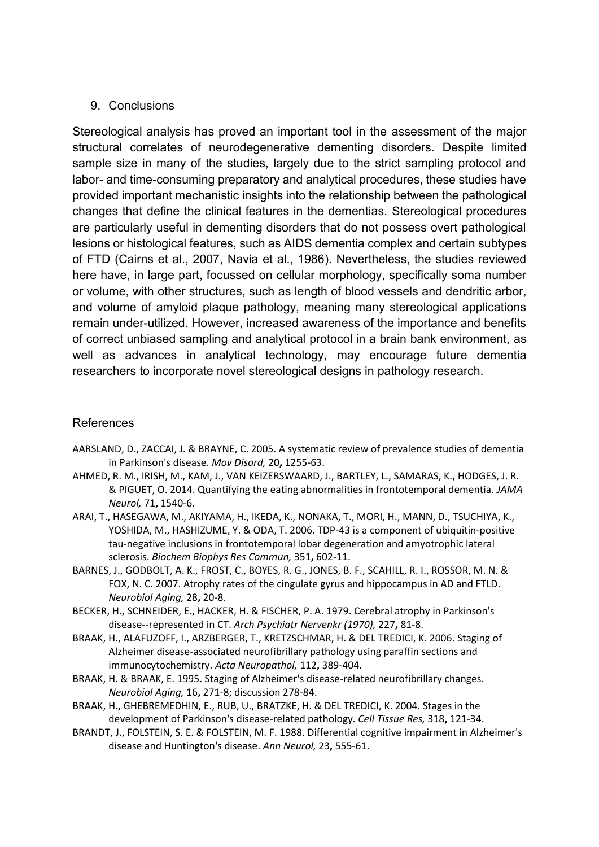## 9. Conclusions

Stereological analysis has proved an important tool in the assessment of the major structural correlates of neurodegenerative dementing disorders. Despite limited sample size in many of the studies, largely due to the strict sampling protocol and labor- and time-consuming preparatory and analytical procedures, these studies have provided important mechanistic insights into the relationship between the pathological changes that define the clinical features in the dementias. Stereological procedures are particularly useful in dementing disorders that do not possess overt pathological lesions or histological features, such as AIDS dementia complex and certain subtypes of FTD [\(Cairns et al., 2007,](#page-16-14) [Navia et al., 1986\)](#page-19-17). Nevertheless, the studies reviewed here have, in large part, focussed on cellular morphology, specifically soma number or volume, with other structures, such as length of blood vessels and dendritic arbor, and volume of amyloid plaque pathology, meaning many stereological applications remain under-utilized. However, increased awareness of the importance and benefits of correct unbiased sampling and analytical protocol in a brain bank environment, as well as advances in analytical technology, may encourage future dementia researchers to incorporate novel stereological designs in pathology research.

## References

- <span id="page-15-4"></span>AARSLAND, D., ZACCAI, J. & BRAYNE, C. 2005. A systematic review of prevalence studies of dementia in Parkinson's disease. *Mov Disord,* 20**,** 1255-63.
- <span id="page-15-8"></span>AHMED, R. M., IRISH, M., KAM, J., VAN KEIZERSWAARD, J., BARTLEY, L., SAMARAS, K., HODGES, J. R. & PIGUET, O. 2014. Quantifying the eating abnormalities in frontotemporal dementia. *JAMA Neurol,* 71**,** 1540-6.
- <span id="page-15-7"></span>ARAI, T., HASEGAWA, M., AKIYAMA, H., IKEDA, K., NONAKA, T., MORI, H., MANN, D., TSUCHIYA, K., YOSHIDA, M., HASHIZUME, Y. & ODA, T. 2006. TDP-43 is a component of ubiquitin-positive tau-negative inclusions in frontotemporal lobar degeneration and amyotrophic lateral sclerosis. *Biochem Biophys Res Commun,* 351**,** 602-11.
- <span id="page-15-3"></span>BARNES, J., GODBOLT, A. K., FROST, C., BOYES, R. G., JONES, B. F., SCAHILL, R. I., ROSSOR, M. N. & FOX, N. C. 2007. Atrophy rates of the cingulate gyrus and hippocampus in AD and FTLD. *Neurobiol Aging,* 28**,** 20-8.
- <span id="page-15-5"></span>BECKER, H., SCHNEIDER, E., HACKER, H. & FISCHER, P. A. 1979. Cerebral atrophy in Parkinson's disease--represented in CT. *Arch Psychiatr Nervenkr (1970),* 227**,** 81-8.
- <span id="page-15-2"></span>BRAAK, H., ALAFUZOFF, I., ARZBERGER, T., KRETZSCHMAR, H. & DEL TREDICI, K. 2006. Staging of Alzheimer disease-associated neurofibrillary pathology using paraffin sections and immunocytochemistry. *Acta Neuropathol,* 112**,** 389-404.
- <span id="page-15-0"></span>BRAAK, H. & BRAAK, E. 1995. Staging of Alzheimer's disease-related neurofibrillary changes. *Neurobiol Aging,* 16**,** 271-8; discussion 278-84.
- <span id="page-15-1"></span>BRAAK, H., GHEBREMEDHIN, E., RUB, U., BRATZKE, H. & DEL TREDICI, K. 2004. Stages in the development of Parkinson's disease-related pathology. *Cell Tissue Res,* 318**,** 121-34.
- <span id="page-15-6"></span>BRANDT, J., FOLSTEIN, S. E. & FOLSTEIN, M. F. 1988. Differential cognitive impairment in Alzheimer's disease and Huntington's disease. *Ann Neurol,* 23**,** 555-61.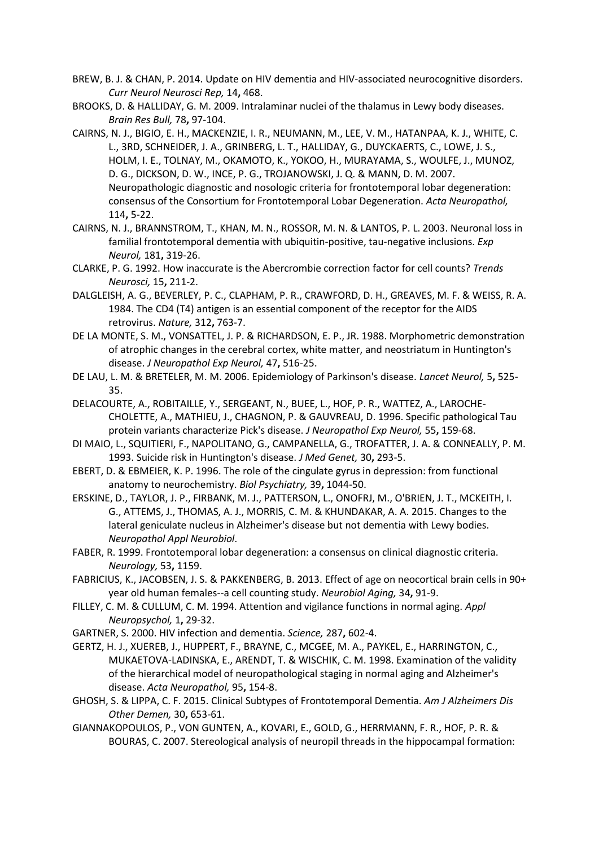- <span id="page-16-18"></span>BREW, B. J. & CHAN, P. 2014. Update on HIV dementia and HIV-associated neurocognitive disorders. *Curr Neurol Neurosci Rep,* 14**,** 468.
- <span id="page-16-7"></span>BROOKS, D. & HALLIDAY, G. M. 2009. Intralaminar nuclei of the thalamus in Lewy body diseases. *Brain Res Bull,* 78**,** 97-104.
- <span id="page-16-14"></span>CAIRNS, N. J., BIGIO, E. H., MACKENZIE, I. R., NEUMANN, M., LEE, V. M., HATANPAA, K. J., WHITE, C. L., 3RD, SCHNEIDER, J. A., GRINBERG, L. T., HALLIDAY, G., DUYCKAERTS, C., LOWE, J. S., HOLM, I. E., TOLNAY, M., OKAMOTO, K., YOKOO, H., MURAYAMA, S., WOULFE, J., MUNOZ, D. G., DICKSON, D. W., INCE, P. G., TROJANOWSKI, J. Q. & MANN, D. M. 2007. Neuropathologic diagnostic and nosologic criteria for frontotemporal lobar degeneration: consensus of the Consortium for Frontotemporal Lobar Degeneration. *Acta Neuropathol,* 114**,** 5-22.
- <span id="page-16-13"></span>CAIRNS, N. J., BRANNSTROM, T., KHAN, M. N., ROSSOR, M. N. & LANTOS, P. L. 2003. Neuronal loss in familial frontotemporal dementia with ubiquitin-positive, tau-negative inclusions. *Exp Neurol,* 181**,** 319-26.
- <span id="page-16-0"></span>CLARKE, P. G. 1992. How inaccurate is the Abercrombie correction factor for cell counts? *Trends Neurosci,* 15**,** 211-2.
- <span id="page-16-16"></span>DALGLEISH, A. G., BEVERLEY, P. C., CLAPHAM, P. R., CRAWFORD, D. H., GREAVES, M. F. & WEISS, R. A. 1984. The CD4 (T4) antigen is an essential component of the receptor for the AIDS retrovirus. *Nature,* 312**,** 763-7.
- <span id="page-16-10"></span>DE LA MONTE, S. M., VONSATTEL, J. P. & RICHARDSON, E. P., JR. 1988. Morphometric demonstration of atrophic changes in the cerebral cortex, white matter, and neostriatum in Huntington's disease. *J Neuropathol Exp Neurol,* 47**,** 516-25.
- <span id="page-16-6"></span>DE LAU, L. M. & BRETELER, M. M. 2006. Epidemiology of Parkinson's disease. *Lancet Neurol,* 5**,** 525- 35.
- <span id="page-16-15"></span>DELACOURTE, A., ROBITAILLE, Y., SERGEANT, N., BUEE, L., HOF, P. R., WATTEZ, A., LAROCHE-CHOLETTE, A., MATHIEU, J., CHAGNON, P. & GAUVREAU, D. 1996. Specific pathological Tau protein variants characterize Pick's disease. *J Neuropathol Exp Neurol,* 55**,** 159-68.
- <span id="page-16-9"></span>DI MAIO, L., SQUITIERI, F., NAPOLITANO, G., CAMPANELLA, G., TROFATTER, J. A. & CONNEALLY, P. M. 1993. Suicide risk in Huntington's disease. *J Med Genet,* 30**,** 293-5.
- <span id="page-16-11"></span>EBERT, D. & EBMEIER, K. P. 1996. The role of the cingulate gyrus in depression: from functional anatomy to neurochemistry. *Biol Psychiatry,* 39**,** 1044-50.
- <span id="page-16-8"></span>ERSKINE, D., TAYLOR, J. P., FIRBANK, M. J., PATTERSON, L., ONOFRJ, M., O'BRIEN, J. T., MCKEITH, I. G., ATTEMS, J., THOMAS, A. J., MORRIS, C. M. & KHUNDAKAR, A. A. 2015. Changes to the lateral geniculate nucleus in Alzheimer's disease but not dementia with Lewy bodies. *Neuropathol Appl Neurobiol*.
- <span id="page-16-12"></span>FABER, R. 1999. Frontotemporal lobar degeneration: a consensus on clinical diagnostic criteria. *Neurology,* 53**,** 1159.
- <span id="page-16-1"></span>FABRICIUS, K., JACOBSEN, J. S. & PAKKENBERG, B. 2013. Effect of age on neocortical brain cells in 90+ year old human females--a cell counting study. *Neurobiol Aging,* 34**,** 91-9.
- <span id="page-16-5"></span>FILLEY, C. M. & CULLUM, C. M. 1994. Attention and vigilance functions in normal aging. *Appl Neuropsychol,* 1**,** 29-32.
- <span id="page-16-17"></span>GARTNER, S. 2000. HIV infection and dementia. *Science,* 287**,** 602-4.
- <span id="page-16-4"></span>GERTZ, H. J., XUEREB, J., HUPPERT, F., BRAYNE, C., MCGEE, M. A., PAYKEL, E., HARRINGTON, C., MUKAETOVA-LADINSKA, E., ARENDT, T. & WISCHIK, C. M. 1998. Examination of the validity of the hierarchical model of neuropathological staging in normal aging and Alzheimer's disease. *Acta Neuropathol,* 95**,** 154-8.
- <span id="page-16-3"></span>GHOSH, S. & LIPPA, C. F. 2015. Clinical Subtypes of Frontotemporal Dementia. *Am J Alzheimers Dis Other Demen,* 30**,** 653-61.
- <span id="page-16-2"></span>GIANNAKOPOULOS, P., VON GUNTEN, A., KOVARI, E., GOLD, G., HERRMANN, F. R., HOF, P. R. & BOURAS, C. 2007. Stereological analysis of neuropil threads in the hippocampal formation: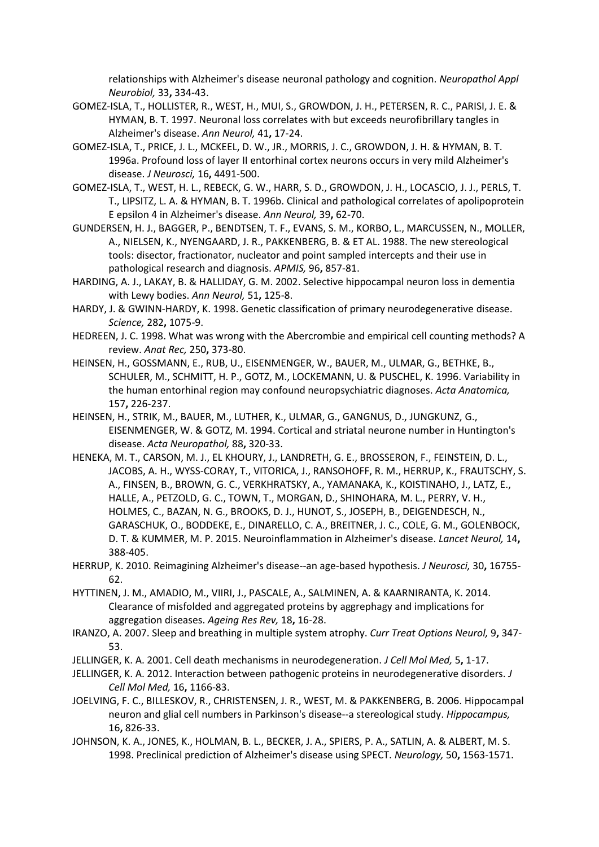relationships with Alzheimer's disease neuronal pathology and cognition. *Neuropathol Appl Neurobiol,* 33**,** 334-43.

- <span id="page-17-11"></span>GOMEZ-ISLA, T., HOLLISTER, R., WEST, H., MUI, S., GROWDON, J. H., PETERSEN, R. C., PARISI, J. E. & HYMAN, B. T. 1997. Neuronal loss correlates with but exceeds neurofibrillary tangles in Alzheimer's disease. *Ann Neurol,* 41**,** 17-24.
- <span id="page-17-8"></span>GOMEZ-ISLA, T., PRICE, J. L., MCKEEL, D. W., JR., MORRIS, J. C., GROWDON, J. H. & HYMAN, B. T. 1996a. Profound loss of layer II entorhinal cortex neurons occurs in very mild Alzheimer's disease. *J Neurosci,* 16**,** 4491-500.
- <span id="page-17-10"></span>GOMEZ-ISLA, T., WEST, H. L., REBECK, G. W., HARR, S. D., GROWDON, J. H., LOCASCIO, J. J., PERLS, T. T., LIPSITZ, L. A. & HYMAN, B. T. 1996b. Clinical and pathological correlates of apolipoprotein E epsilon 4 in Alzheimer's disease. *Ann Neurol,* 39**,** 62-70.
- <span id="page-17-5"></span>GUNDERSEN, H. J., BAGGER, P., BENDTSEN, T. F., EVANS, S. M., KORBO, L., MARCUSSEN, N., MOLLER, A., NIELSEN, K., NYENGAARD, J. R., PAKKENBERG, B. & ET AL. 1988. The new stereological tools: disector, fractionator, nucleator and point sampled intercepts and their use in pathological research and diagnosis. *APMIS,* 96**,** 857-81.
- <span id="page-17-14"></span>HARDING, A. J., LAKAY, B. & HALLIDAY, G. M. 2002. Selective hippocampal neuron loss in dementia with Lewy bodies. *Ann Neurol,* 51**,** 125-8.
- <span id="page-17-2"></span>HARDY, J. & GWINN-HARDY, K. 1998. Genetic classification of primary neurodegenerative disease. *Science,* 282**,** 1075-9.
- <span id="page-17-4"></span>HEDREEN, J. C. 1998. What was wrong with the Abercrombie and empirical cell counting methods? A review. *Anat Rec,* 250**,** 373-80.
- <span id="page-17-9"></span>HEINSEN, H., GOSSMANN, E., RUB, U., EISENMENGER, W., BAUER, M., ULMAR, G., BETHKE, B., SCHULER, M., SCHMITT, H. P., GOTZ, M., LOCKEMANN, U. & PUSCHEL, K. 1996. Variability in the human entorhinal region may confound neuropsychiatric diagnoses. *Acta Anatomica,* 157**,** 226-237.
- <span id="page-17-16"></span>HEINSEN, H., STRIK, M., BAUER, M., LUTHER, K., ULMAR, G., GANGNUS, D., JUNGKUNZ, G., EISENMENGER, W. & GOTZ, M. 1994. Cortical and striatal neurone number in Huntington's disease. *Acta Neuropathol,* 88**,** 320-33.
- <span id="page-17-13"></span>HENEKA, M. T., CARSON, M. J., EL KHOURY, J., LANDRETH, G. E., BROSSERON, F., FEINSTEIN, D. L., JACOBS, A. H., WYSS-CORAY, T., VITORICA, J., RANSOHOFF, R. M., HERRUP, K., FRAUTSCHY, S. A., FINSEN, B., BROWN, G. C., VERKHRATSKY, A., YAMANAKA, K., KOISTINAHO, J., LATZ, E., HALLE, A., PETZOLD, G. C., TOWN, T., MORGAN, D., SHINOHARA, M. L., PERRY, V. H., HOLMES, C., BAZAN, N. G., BROOKS, D. J., HUNOT, S., JOSEPH, B., DEIGENDESCH, N., GARASCHUK, O., BODDEKE, E., DINARELLO, C. A., BREITNER, J. C., COLE, G. M., GOLENBOCK, D. T. & KUMMER, M. P. 2015. Neuroinflammation in Alzheimer's disease. *Lancet Neurol,* 14**,** 388-405.
- <span id="page-17-7"></span>HERRUP, K. 2010. Reimagining Alzheimer's disease--an age-based hypothesis. *J Neurosci,* 30**,** 16755- 62.
- <span id="page-17-3"></span>HYTTINEN, J. M., AMADIO, M., VIIRI, J., PASCALE, A., SALMINEN, A. & KAARNIRANTA, K. 2014. Clearance of misfolded and aggregated proteins by aggrephagy and implications for aggregation diseases. *Ageing Res Rev,* 18**,** 16-28.
- <span id="page-17-15"></span>IRANZO, A. 2007. Sleep and breathing in multiple system atrophy. *Curr Treat Options Neurol,* 9**,** 347- 53.
- <span id="page-17-0"></span>JELLINGER, K. A. 2001. Cell death mechanisms in neurodegeneration. *J Cell Mol Med,* 5**,** 1-17.
- <span id="page-17-1"></span>JELLINGER, K. A. 2012. Interaction between pathogenic proteins in neurodegenerative disorders. *J Cell Mol Med,* 16**,** 1166-83.
- <span id="page-17-6"></span>JOELVING, F. C., BILLESKOV, R., CHRISTENSEN, J. R., WEST, M. & PAKKENBERG, B. 2006. Hippocampal neuron and glial cell numbers in Parkinson's disease--a stereological study. *Hippocampus,* 16**,** 826-33.
- <span id="page-17-12"></span>JOHNSON, K. A., JONES, K., HOLMAN, B. L., BECKER, J. A., SPIERS, P. A., SATLIN, A. & ALBERT, M. S. 1998. Preclinical prediction of Alzheimer's disease using SPECT. *Neurology,* 50**,** 1563-1571.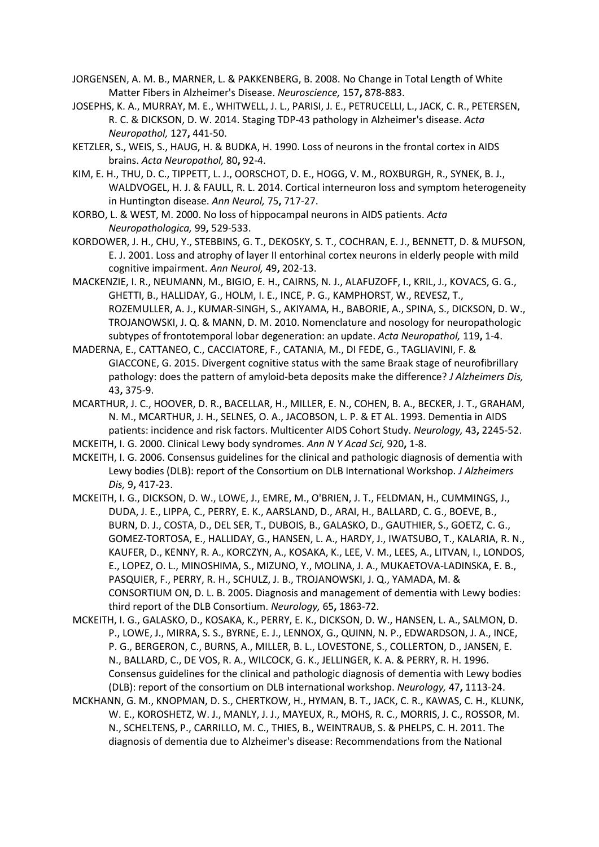- <span id="page-18-5"></span>JORGENSEN, A. M. B., MARNER, L. & PAKKENBERG, B. 2008. No Change in Total Length of White Matter Fibers in Alzheimer's Disease. *Neuroscience,* 157**,** 878-883.
- <span id="page-18-2"></span>JOSEPHS, K. A., MURRAY, M. E., WHITWELL, J. L., PARISI, J. E., PETRUCELLI, L., JACK, C. R., PETERSEN, R. C. & DICKSON, D. W. 2014. Staging TDP-43 pathology in Alzheimer's disease. *Acta Neuropathol,* 127**,** 441-50.
- <span id="page-18-11"></span>KETZLER, S., WEIS, S., HAUG, H. & BUDKA, H. 1990. Loss of neurons in the frontal cortex in AIDS brains. *Acta Neuropathol,* 80**,** 92-4.
- <span id="page-18-9"></span>KIM, E. H., THU, D. C., TIPPETT, L. J., OORSCHOT, D. E., HOGG, V. M., ROXBURGH, R., SYNEK, B. J., WALDVOGEL, H. J. & FAULL, R. L. 2014. Cortical interneuron loss and symptom heterogeneity in Huntington disease. *Ann Neurol,* 75**,** 717-27.
- <span id="page-18-13"></span>KORBO, L. & WEST, M. 2000. No loss of hippocampal neurons in AIDS patients. *Acta Neuropathologica,* 99**,** 529-533.
- <span id="page-18-3"></span>KORDOWER, J. H., CHU, Y., STEBBINS, G. T., DEKOSKY, S. T., COCHRAN, E. J., BENNETT, D. & MUFSON, E. J. 2001. Loss and atrophy of layer II entorhinal cortex neurons in elderly people with mild cognitive impairment. *Ann Neurol,* 49**,** 202-13.
- <span id="page-18-10"></span>MACKENZIE, I. R., NEUMANN, M., BIGIO, E. H., CAIRNS, N. J., ALAFUZOFF, I., KRIL, J., KOVACS, G. G., GHETTI, B., HALLIDAY, G., HOLM, I. E., INCE, P. G., KAMPHORST, W., REVESZ, T., ROZEMULLER, A. J., KUMAR-SINGH, S., AKIYAMA, H., BABORIE, A., SPINA, S., DICKSON, D. W., TROJANOWSKI, J. Q. & MANN, D. M. 2010. Nomenclature and nosology for neuropathologic subtypes of frontotemporal lobar degeneration: an update. *Acta Neuropathol,* 119**,** 1-4.
- <span id="page-18-4"></span>MADERNA, E., CATTANEO, C., CACCIATORE, F., CATANIA, M., DI FEDE, G., TAGLIAVINI, F. & GIACCONE, G. 2015. Divergent cognitive status with the same Braak stage of neurofibrillary pathology: does the pattern of amyloid-beta deposits make the difference? *J Alzheimers Dis,* 43**,** 375-9.
- <span id="page-18-12"></span>MCARTHUR, J. C., HOOVER, D. R., BACELLAR, H., MILLER, E. N., COHEN, B. A., BECKER, J. T., GRAHAM, N. M., MCARTHUR, J. H., SELNES, O. A., JACOBSON, L. P. & ET AL. 1993. Dementia in AIDS patients: incidence and risk factors. Multicenter AIDS Cohort Study. *Neurology,* 43**,** 2245-52.
- <span id="page-18-6"></span>MCKEITH, I. G. 2000. Clinical Lewy body syndromes. *Ann N Y Acad Sci,* 920**,** 1-8.
- <span id="page-18-7"></span>MCKEITH, I. G. 2006. Consensus guidelines for the clinical and pathologic diagnosis of dementia with Lewy bodies (DLB): report of the Consortium on DLB International Workshop. *J Alzheimers Dis,* 9**,** 417-23.
- <span id="page-18-0"></span>MCKEITH, I. G., DICKSON, D. W., LOWE, J., EMRE, M., O'BRIEN, J. T., FELDMAN, H., CUMMINGS, J., DUDA, J. E., LIPPA, C., PERRY, E. K., AARSLAND, D., ARAI, H., BALLARD, C. G., BOEVE, B., BURN, D. J., COSTA, D., DEL SER, T., DUBOIS, B., GALASKO, D., GAUTHIER, S., GOETZ, C. G., GOMEZ-TORTOSA, E., HALLIDAY, G., HANSEN, L. A., HARDY, J., IWATSUBO, T., KALARIA, R. N., KAUFER, D., KENNY, R. A., KORCZYN, A., KOSAKA, K., LEE, V. M., LEES, A., LITVAN, I., LONDOS, E., LOPEZ, O. L., MINOSHIMA, S., MIZUNO, Y., MOLINA, J. A., MUKAETOVA-LADINSKA, E. B., PASQUIER, F., PERRY, R. H., SCHULZ, J. B., TROJANOWSKI, J. Q., YAMADA, M. & CONSORTIUM ON, D. L. B. 2005. Diagnosis and management of dementia with Lewy bodies: third report of the DLB Consortium. *Neurology,* 65**,** 1863-72.
- <span id="page-18-8"></span>MCKEITH, I. G., GALASKO, D., KOSAKA, K., PERRY, E. K., DICKSON, D. W., HANSEN, L. A., SALMON, D. P., LOWE, J., MIRRA, S. S., BYRNE, E. J., LENNOX, G., QUINN, N. P., EDWARDSON, J. A., INCE, P. G., BERGERON, C., BURNS, A., MILLER, B. L., LOVESTONE, S., COLLERTON, D., JANSEN, E. N., BALLARD, C., DE VOS, R. A., WILCOCK, G. K., JELLINGER, K. A. & PERRY, R. H. 1996. Consensus guidelines for the clinical and pathologic diagnosis of dementia with Lewy bodies (DLB): report of the consortium on DLB international workshop. *Neurology,* 47**,** 1113-24.
- <span id="page-18-1"></span>MCKHANN, G. M., KNOPMAN, D. S., CHERTKOW, H., HYMAN, B. T., JACK, C. R., KAWAS, C. H., KLUNK, W. E., KOROSHETZ, W. J., MANLY, J. J., MAYEUX, R., MOHS, R. C., MORRIS, J. C., ROSSOR, M. N., SCHELTENS, P., CARRILLO, M. C., THIES, B., WEINTRAUB, S. & PHELPS, C. H. 2011. The diagnosis of dementia due to Alzheimer's disease: Recommendations from the National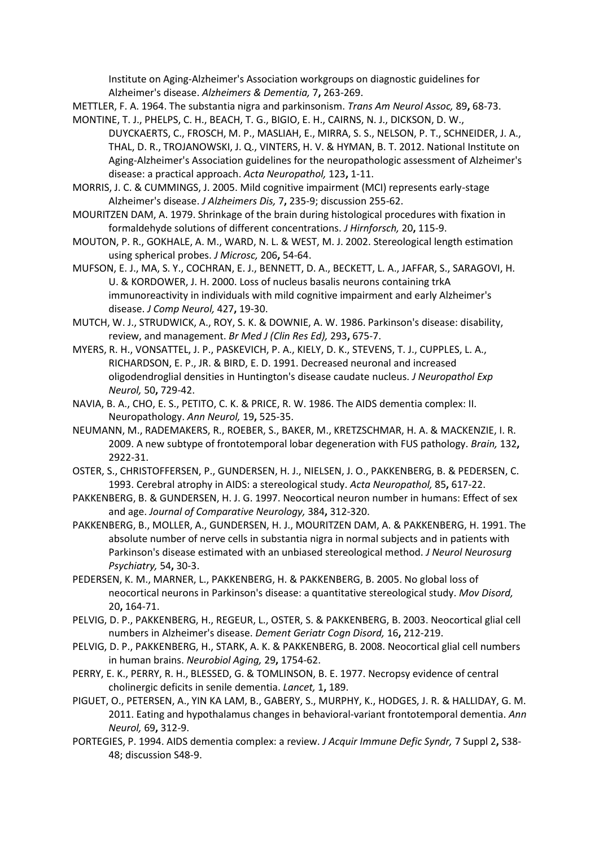Institute on Aging-Alzheimer's Association workgroups on diagnostic guidelines for Alzheimer's disease. *Alzheimers & Dementia,* 7**,** 263-269.

- <span id="page-19-13"></span>METTLER, F. A. 1964. The substantia nigra and parkinsonism. *Trans Am Neurol Assoc,* 89**,** 68-73.
- <span id="page-19-0"></span>MONTINE, T. J., PHELPS, C. H., BEACH, T. G., BIGIO, E. H., CAIRNS, N. J., DICKSON, D. W., DUYCKAERTS, C., FROSCH, M. P., MASLIAH, E., MIRRA, S. S., NELSON, P. T., SCHNEIDER, J. A., THAL, D. R., TROJANOWSKI, J. Q., VINTERS, H. V. & HYMAN, B. T. 2012. National Institute on Aging-Alzheimer's Association guidelines for the neuropathologic assessment of Alzheimer's disease: a practical approach. *Acta Neuropathol,* 123**,** 1-11.
- <span id="page-19-6"></span>MORRIS, J. C. & CUMMINGS, J. 2005. Mild cognitive impairment (MCI) represents early-stage Alzheimer's disease. *J Alzheimers Dis,* 7**,** 235-9; discussion 255-62.
- <span id="page-19-5"></span>MOURITZEN DAM, A. 1979. Shrinkage of the brain during histological procedures with fixation in formaldehyde solutions of different concentrations. *J Hirnforsch,* 20**,** 115-9.
- <span id="page-19-4"></span>MOUTON, P. R., GOKHALE, A. M., WARD, N. L. & WEST, M. J. 2002. Stereological length estimation using spherical probes. *J Microsc,* 206**,** 54-64.
- <span id="page-19-8"></span>MUFSON, E. J., MA, S. Y., COCHRAN, E. J., BENNETT, D. A., BECKETT, L. A., JAFFAR, S., SARAGOVI, H. U. & KORDOWER, J. H. 2000. Loss of nucleus basalis neurons containing trkA immunoreactivity in individuals with mild cognitive impairment and early Alzheimer's disease. *J Comp Neurol,* 427**,** 19-30.
- <span id="page-19-11"></span>MUTCH, W. J., STRUDWICK, A., ROY, S. K. & DOWNIE, A. W. 1986. Parkinson's disease: disability, review, and management. *Br Med J (Clin Res Ed),* 293**,** 675-7.
- <span id="page-19-14"></span>MYERS, R. H., VONSATTEL, J. P., PASKEVICH, P. A., KIELY, D. K., STEVENS, T. J., CUPPLES, L. A., RICHARDSON, E. P., JR. & BIRD, E. D. 1991. Decreased neuronal and increased oligodendroglial densities in Huntington's disease caudate nucleus. *J Neuropathol Exp Neurol,* 50**,** 729-42.
- <span id="page-19-17"></span>NAVIA, B. A., CHO, E. S., PETITO, C. K. & PRICE, R. W. 1986. The AIDS dementia complex: II. Neuropathology. *Ann Neurol,* 19**,** 525-35.
- <span id="page-19-15"></span>NEUMANN, M., RADEMAKERS, R., ROEBER, S., BAKER, M., KRETZSCHMAR, H. A. & MACKENZIE, I. R. 2009. A new subtype of frontotemporal lobar degeneration with FUS pathology. *Brain,* 132**,** 2922-31.
- <span id="page-19-18"></span>OSTER, S., CHRISTOFFERSEN, P., GUNDERSEN, H. J., NIELSEN, J. O., PAKKENBERG, B. & PEDERSEN, C. 1993. Cerebral atrophy in AIDS: a stereological study. *Acta Neuropathol,* 85**,** 617-22.
- <span id="page-19-10"></span>PAKKENBERG, B. & GUNDERSEN, H. J. G. 1997. Neocortical neuron number in humans: Effect of sex and age. *Journal of Comparative Neurology,* 384**,** 312-320.
- <span id="page-19-2"></span>PAKKENBERG, B., MOLLER, A., GUNDERSEN, H. J., MOURITZEN DAM, A. & PAKKENBERG, H. 1991. The absolute number of nerve cells in substantia nigra in normal subjects and in patients with Parkinson's disease estimated with an unbiased stereological method. *J Neurol Neurosurg Psychiatry,* 54**,** 30-3.
- <span id="page-19-12"></span>PEDERSEN, K. M., MARNER, L., PAKKENBERG, H. & PAKKENBERG, B. 2005. No global loss of neocortical neurons in Parkinson's disease: a quantitative stereological study. *Mov Disord,* 20**,** 164-71.
- <span id="page-19-9"></span>PELVIG, D. P., PAKKENBERG, H., REGEUR, L., OSTER, S. & PAKKENBERG, B. 2003. Neocortical glial cell numbers in Alzheimer's disease. *Dement Geriatr Cogn Disord,* 16**,** 212-219.
- <span id="page-19-1"></span>PELVIG, D. P., PAKKENBERG, H., STARK, A. K. & PAKKENBERG, B. 2008. Neocortical glial cell numbers in human brains. *Neurobiol Aging,* 29**,** 1754-62.
- <span id="page-19-7"></span>PERRY, E. K., PERRY, R. H., BLESSED, G. & TOMLINSON, B. E. 1977. Necropsy evidence of central cholinergic deficits in senile dementia. *Lancet,* 1**,** 189.
- <span id="page-19-3"></span>PIGUET, O., PETERSEN, A., YIN KA LAM, B., GABERY, S., MURPHY, K., HODGES, J. R. & HALLIDAY, G. M. 2011. Eating and hypothalamus changes in behavioral-variant frontotemporal dementia. *Ann Neurol,* 69**,** 312-9.
- <span id="page-19-16"></span>PORTEGIES, P. 1994. AIDS dementia complex: a review. *J Acquir Immune Defic Syndr,* 7 Suppl 2**,** S38- 48; discussion S48-9.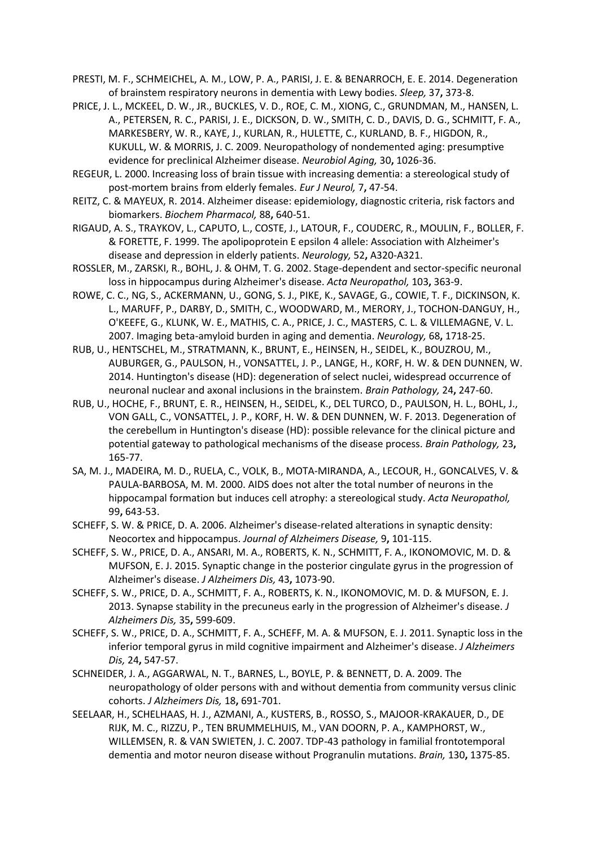<span id="page-20-11"></span>PRESTI, M. F., SCHMEICHEL, A. M., LOW, P. A., PARISI, J. E. & BENARROCH, E. E. 2014. Degeneration of brainstem respiratory neurons in dementia with Lewy bodies. *Sleep,* 37**,** 373-8.

- <span id="page-20-3"></span>PRICE, J. L., MCKEEL, D. W., JR., BUCKLES, V. D., ROE, C. M., XIONG, C., GRUNDMAN, M., HANSEN, L. A., PETERSEN, R. C., PARISI, J. E., DICKSON, D. W., SMITH, C. D., DAVIS, D. G., SCHMITT, F. A., MARKESBERY, W. R., KAYE, J., KURLAN, R., HULETTE, C., KURLAND, B. F., HIGDON, R., KUKULL, W. & MORRIS, J. C. 2009. Neuropathology of nondemented aging: presumptive evidence for preclinical Alzheimer disease. *Neurobiol Aging,* 30**,** 1026-36.
- <span id="page-20-5"></span>REGEUR, L. 2000. Increasing loss of brain tissue with increasing dementia: a stereological study of post-mortem brains from elderly females. *Eur J Neurol,* 7**,** 47-54.
- <span id="page-20-2"></span>REITZ, C. & MAYEUX, R. 2014. Alzheimer disease: epidemiology, diagnostic criteria, risk factors and biomarkers. *Biochem Pharmacol,* 88**,** 640-51.
- <span id="page-20-6"></span>RIGAUD, A. S., TRAYKOV, L., CAPUTO, L., COSTE, J., LATOUR, F., COUDERC, R., MOULIN, F., BOLLER, F. & FORETTE, F. 1999. The apolipoprotein E epsilon 4 allele: Association with Alzheimer's disease and depression in elderly patients. *Neurology,* 52**,** A320-A321.
- <span id="page-20-10"></span>ROSSLER, M., ZARSKI, R., BOHL, J. & OHM, T. G. 2002. Stage-dependent and sector-specific neuronal loss in hippocampus during Alzheimer's disease. *Acta Neuropathol,* 103**,** 363-9.
- <span id="page-20-9"></span>ROWE, C. C., NG, S., ACKERMANN, U., GONG, S. J., PIKE, K., SAVAGE, G., COWIE, T. F., DICKINSON, K. L., MARUFF, P., DARBY, D., SMITH, C., WOODWARD, M., MERORY, J., TOCHON-DANGUY, H., O'KEEFE, G., KLUNK, W. E., MATHIS, C. A., PRICE, J. C., MASTERS, C. L. & VILLEMAGNE, V. L. 2007. Imaging beta-amyloid burden in aging and dementia. *Neurology,* 68**,** 1718-25.
- <span id="page-20-13"></span>RUB, U., HENTSCHEL, M., STRATMANN, K., BRUNT, E., HEINSEN, H., SEIDEL, K., BOUZROU, M., AUBURGER, G., PAULSON, H., VONSATTEL, J. P., LANGE, H., KORF, H. W. & DEN DUNNEN, W. 2014. Huntington's disease (HD): degeneration of select nuclei, widespread occurrence of neuronal nuclear and axonal inclusions in the brainstem. *Brain Pathology,* 24**,** 247-60.
- <span id="page-20-12"></span>RUB, U., HOCHE, F., BRUNT, E. R., HEINSEN, H., SEIDEL, K., DEL TURCO, D., PAULSON, H. L., BOHL, J., VON GALL, C., VONSATTEL, J. P., KORF, H. W. & DEN DUNNEN, W. F. 2013. Degeneration of the cerebellum in Huntington's disease (HD): possible relevance for the clinical picture and potential gateway to pathological mechanisms of the disease process. *Brain Pathology,* 23**,** 165-77.
- <span id="page-20-15"></span>SA, M. J., MADEIRA, M. D., RUELA, C., VOLK, B., MOTA-MIRANDA, A., LECOUR, H., GONCALVES, V. & PAULA-BARBOSA, M. M. 2000. AIDS does not alter the total number of neurons in the hippocampal formation but induces cell atrophy: a stereological study. *Acta Neuropathol,* 99**,** 643-53.
- <span id="page-20-7"></span>SCHEFF, S. W. & PRICE, D. A. 2006. Alzheimer's disease-related alterations in synaptic density: Neocortex and hippocampus. *Journal of Alzheimers Disease,* 9**,** 101-115.
- <span id="page-20-8"></span>SCHEFF, S. W., PRICE, D. A., ANSARI, M. A., ROBERTS, K. N., SCHMITT, F. A., IKONOMOVIC, M. D. & MUFSON, E. J. 2015. Synaptic change in the posterior cingulate gyrus in the progression of Alzheimer's disease. *J Alzheimers Dis,* 43**,** 1073-90.
- <span id="page-20-0"></span>SCHEFF, S. W., PRICE, D. A., SCHMITT, F. A., ROBERTS, K. N., IKONOMOVIC, M. D. & MUFSON, E. J. 2013. Synapse stability in the precuneus early in the progression of Alzheimer's disease. *J Alzheimers Dis,* 35**,** 599-609.
- <span id="page-20-1"></span>SCHEFF, S. W., PRICE, D. A., SCHMITT, F. A., SCHEFF, M. A. & MUFSON, E. J. 2011. Synaptic loss in the inferior temporal gyrus in mild cognitive impairment and Alzheimer's disease. *J Alzheimers Dis,* 24**,** 547-57.
- <span id="page-20-4"></span>SCHNEIDER, J. A., AGGARWAL, N. T., BARNES, L., BOYLE, P. & BENNETT, D. A. 2009. The neuropathology of older persons with and without dementia from community versus clinic cohorts. *J Alzheimers Dis,* 18**,** 691-701.
- <span id="page-20-14"></span>SEELAAR, H., SCHELHAAS, H. J., AZMANI, A., KUSTERS, B., ROSSO, S., MAJOOR-KRAKAUER, D., DE RIJK, M. C., RIZZU, P., TEN BRUMMELHUIS, M., VAN DOORN, P. A., KAMPHORST, W., WILLEMSEN, R. & VAN SWIETEN, J. C. 2007. TDP-43 pathology in familial frontotemporal dementia and motor neuron disease without Progranulin mutations. *Brain,* 130**,** 1375-85.